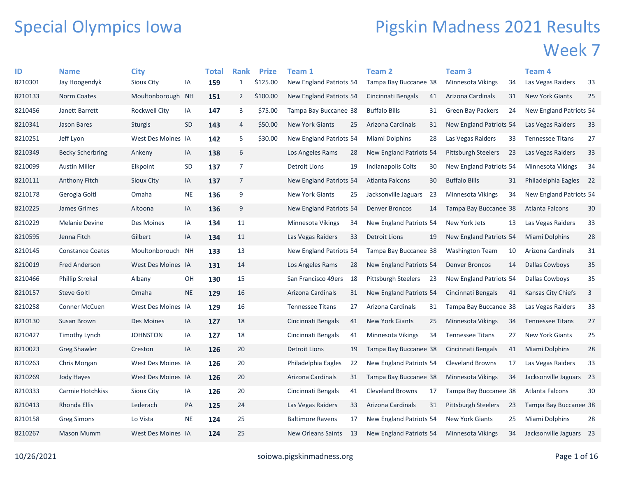## Special Olympics Iowa

## Pigskin Madness 2021 Results Week 7

| ID      | <b>Name</b>             | <b>City</b>        |           | <b>Total</b> | <b>Rank</b>    | <b>Prize</b> | Team 1                    |    | <b>Team 2</b>           |     | Team <sub>3</sub>          |     | Team 4                  |    |
|---------|-------------------------|--------------------|-----------|--------------|----------------|--------------|---------------------------|----|-------------------------|-----|----------------------------|-----|-------------------------|----|
| 8210301 | Jay Hoogendyk           | Sioux City         | IA        | 159          | $\mathbf{1}$   | \$125.00     | New England Patriots 54   |    | Tampa Bay Buccanee 38   |     | Minnesota Vikings          | 34  | Las Vegas Raiders       | 33 |
| 8210133 | <b>Norm Coates</b>      | Moultonborough NH  |           | 151          | $\overline{2}$ | \$100.00     | New England Patriots 54   |    | Cincinnati Bengals      | 41  | Arizona Cardinals          | 31  | <b>New York Giants</b>  | 25 |
| 8210456 | Janett Barrett          | Rockwell City      | IA        | 147          | 3              | \$75.00      | Tampa Bay Buccanee 38     |    | <b>Buffalo Bills</b>    | 31  | <b>Green Bay Packers</b>   | 24  | New England Patriots 54 |    |
| 8210341 | Jason Bares             | <b>Sturgis</b>     | SD        | 143          | 4              | \$50.00      | <b>New York Giants</b>    | 25 | Arizona Cardinals       | 31  | New England Patriots 54    |     | Las Vegas Raiders       | 33 |
| 8210251 | Jeff Lyon               | West Des Moines IA |           | 142          | 5              | \$30.00      | New England Patriots 54   |    | Miami Dolphins          | 28  | Las Vegas Raiders          | 33  | <b>Tennessee Titans</b> | 27 |
| 8210349 | <b>Becky Scherbring</b> | Ankeny             | IA        | 138          | 6              |              | Los Angeles Rams          | 28 | New England Patriots 54 |     | <b>Pittsburgh Steelers</b> | -23 | Las Vegas Raiders       | 33 |
| 8210099 | <b>Austin Miller</b>    | Elkpoint           | <b>SD</b> | 137          | $\overline{7}$ |              | Detroit Lions             | 19 | Indianapolis Colts      | 30  | New England Patriots 54    |     | Minnesota Vikings       | 34 |
| 8210111 | Anthony Fitch           | Sioux City         | IA        | 137          | 7              |              | New England Patriots 54   |    | Atlanta Falcons         | 30  | <b>Buffalo Bills</b>       | 31  | Philadelphia Eagles     | 22 |
| 8210178 | Gerogia Goltl           | Omaha              | <b>NE</b> | 136          | 9              |              | <b>New York Giants</b>    | 25 | Jacksonville Jaguars    | 23  | Minnesota Vikings          | 34  | New England Patriots 54 |    |
| 8210225 | James Grimes            | Altoona            | IA        | 136          | 9              |              | New England Patriots 54   |    | <b>Denver Broncos</b>   | 14  | Tampa Bay Buccanee 38      |     | Atlanta Falcons         | 30 |
| 8210229 | <b>Melanie Devine</b>   | Des Moines         | IA        | 134          | 11             |              | Minnesota Vikings         | 34 | New England Patriots 54 |     | New York Jets              | 13  | Las Vegas Raiders       | 33 |
| 8210595 | Jenna Fitch             | Gilbert            | IA        | 134          | 11             |              | Las Vegas Raiders         | 33 | Detroit Lions           | 19  | New England Patriots 54    |     | Miami Dolphins          | 28 |
| 8210145 | <b>Constance Coates</b> | Moultonborouch NH  |           | 133          | 13             |              | New England Patriots 54   |    | Tampa Bay Buccanee 38   |     | <b>Washington Team</b>     | 10  | Arizona Cardinals       | 31 |
| 8210019 | <b>Fred Anderson</b>    | West Des Moines IA |           | 131          | 14             |              | Los Angeles Rams          | 28 | New England Patriots 54 |     | <b>Denver Broncos</b>      | 14  | Dallas Cowboys          | 35 |
| 8210466 | <b>Phillip Strekal</b>  | Albany             | OH        | 130          | 15             |              | San Francisco 49ers       | 18 | Pittsburgh Steelers     | -23 | New England Patriots 54    |     | Dallas Cowboys          | 35 |
| 8210157 | <b>Steve Goltl</b>      | Omaha              | <b>NE</b> | 129          | 16             |              | Arizona Cardinals         | 31 | New England Patriots 54 |     | Cincinnati Bengals         | 41  | Kansas City Chiefs      | 3  |
| 8210258 | <b>Conner McCuen</b>    | West Des Moines IA |           | 129          | 16             |              | <b>Tennessee Titans</b>   | 27 | Arizona Cardinals       | 31  | Tampa Bay Buccanee 38      |     | Las Vegas Raiders       | 33 |
| 8210130 | Susan Brown             | Des Moines         | IA        | 127          | 18             |              | Cincinnati Bengals        | 41 | <b>New York Giants</b>  | 25  | <b>Minnesota Vikings</b>   | 34  | <b>Tennessee Titans</b> | 27 |
| 8210427 | Timothy Lynch           | <b>JOHNSTON</b>    | IA        | 127          | 18             |              | Cincinnati Bengals        | 41 | Minnesota Vikings       | 34  | <b>Tennessee Titans</b>    | 27  | <b>New York Giants</b>  | 25 |
| 8210023 | <b>Greg Shawler</b>     | Creston            | IA        | 126          | $20\,$         |              | <b>Detroit Lions</b>      | 19 | Tampa Bay Buccanee 38   |     | Cincinnati Bengals         | 41  | Miami Dolphins          | 28 |
| 8210263 | Chris Morgan            | West Des Moines IA |           | 126          | 20             |              | Philadelphia Eagles       | 22 | New England Patriots 54 |     | Cleveland Browns           | 17  | Las Vegas Raiders       | 33 |
| 8210269 | Jody Hayes              | West Des Moines IA |           | 126          | 20             |              | Arizona Cardinals         | 31 | Tampa Bay Buccanee 38   |     | Minnesota Vikings          | 34  | Jacksonville Jaguars    | 23 |
| 8210333 | Carmie Hotchkiss        | Sioux City         | IA        | 126          | 20             |              | Cincinnati Bengals        | 41 | <b>Cleveland Browns</b> | 17  | Tampa Bay Buccanee 38      |     | Atlanta Falcons         | 30 |
| 8210413 | <b>Rhonda Ellis</b>     | Lederach           | PA        | 125          | 24             |              | Las Vegas Raiders         | 33 | Arizona Cardinals       | 31  | <b>Pittsburgh Steelers</b> | 23  | Tampa Bay Buccanee 38   |    |
| 8210158 | <b>Greg Simons</b>      | Lo Vista           | <b>NE</b> | 124          | 25             |              | <b>Baltimore Ravens</b>   | 17 | New England Patriots 54 |     | <b>New York Giants</b>     | 25  | Miami Dolphins          | 28 |
| 8210267 | <b>Mason Mumm</b>       | West Des Moines IA |           | 124          | 25             |              | <b>New Orleans Saints</b> | 13 | New England Patriots 54 |     | Minnesota Vikings          | 34  | Jacksonville Jaguars 23 |    |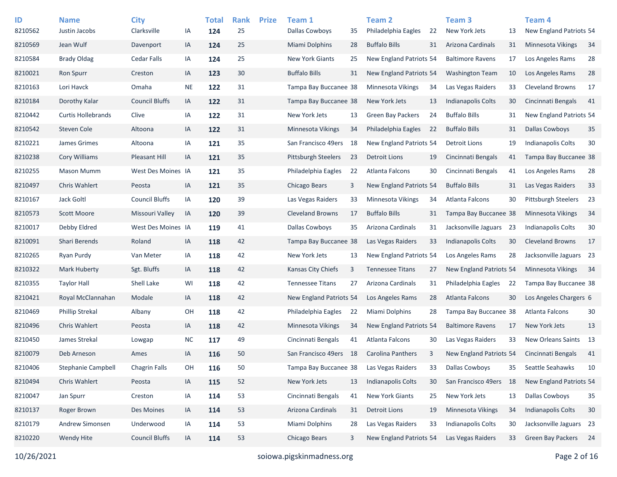| ID      | <b>Name</b>               | <b>City</b>           |           | <b>Total</b> | <b>Rank</b> | <b>Prize</b> | Team 1                   |    | <b>Team 2</b>             |    | Team <sub>3</sub>         |    | <b>Team 4</b>              |    |
|---------|---------------------------|-----------------------|-----------|--------------|-------------|--------------|--------------------------|----|---------------------------|----|---------------------------|----|----------------------------|----|
| 8210562 | Justin Jacobs             | Clarksville           | IA        | 124          | 25          |              | <b>Dallas Cowboys</b>    | 35 | Philadelphia Eagles       | 22 | New York Jets             | 13 | New England Patriots 54    |    |
| 8210569 | Jean Wulf                 | Davenport             | IA        | 124          | 25          |              | <b>Miami Dolphins</b>    | 28 | <b>Buffalo Bills</b>      | 31 | Arizona Cardinals         | 31 | <b>Minnesota Vikings</b>   | 34 |
| 8210584 | <b>Brady Oldag</b>        | <b>Cedar Falls</b>    | IA        | 124          | 25          |              | New York Giants          | 25 | New England Patriots 54   |    | <b>Baltimore Ravens</b>   | 17 | Los Angeles Rams           | 28 |
| 8210021 | <b>Ron Spurr</b>          | Creston               | IA        | 123          | 30          |              | <b>Buffalo Bills</b>     | 31 | New England Patriots 54   |    | <b>Washington Team</b>    | 10 | Los Angeles Rams           | 28 |
| 8210163 | Lori Havck                | Omaha                 | <b>NE</b> | 122          | 31          |              | Tampa Bay Buccanee 38    |    | Minnesota Vikings         | 34 | Las Vegas Raiders         | 33 | <b>Cleveland Browns</b>    | 17 |
| 8210184 | Dorothy Kalar             | <b>Council Bluffs</b> | IA        | 122          | 31          |              | Tampa Bay Buccanee 38    |    | New York Jets             | 13 | <b>Indianapolis Colts</b> | 30 | Cincinnati Bengals         | 41 |
| 8210442 | <b>Curtis Hollebrands</b> | Clive                 | IA        | 122          | 31          |              | New York Jets            | 13 | <b>Green Bay Packers</b>  | 24 | <b>Buffalo Bills</b>      | 31 | New England Patriots 54    |    |
| 8210542 | Steven Cole               | Altoona               | IA        | 122          | 31          |              | Minnesota Vikings        | 34 | Philadelphia Eagles       | 22 | <b>Buffalo Bills</b>      | 31 | <b>Dallas Cowboys</b>      | 35 |
| 8210221 | James Grimes              | Altoona               | IA        | 121          | 35          |              | San Francisco 49ers      | 18 | New England Patriots 54   |    | <b>Detroit Lions</b>      | 19 | Indianapolis Colts         | 30 |
| 8210238 | Cory Williams             | Pleasant Hill         | IA        | 121          | 35          |              | Pittsburgh Steelers      | 23 | Detroit Lions             | 19 | Cincinnati Bengals        | 41 | Tampa Bay Buccanee 38      |    |
| 8210255 | <b>Mason Mumm</b>         | West Des Moines IA    |           | 121          | 35          |              | Philadelphia Eagles      | 22 | Atlanta Falcons           | 30 | Cincinnati Bengals        | 41 | Los Angeles Rams           | 28 |
| 8210497 | <b>Chris Wahlert</b>      | Peosta                | IA        | 121          | 35          |              | Chicago Bears            | 3  | New England Patriots 54   |    | <b>Buffalo Bills</b>      | 31 | Las Vegas Raiders          | 33 |
| 8210167 | Jack Goltl                | <b>Council Bluffs</b> | IA        | 120          | 39          |              | Las Vegas Raiders        | 33 | <b>Minnesota Vikings</b>  | 34 | <b>Atlanta Falcons</b>    | 30 | <b>Pittsburgh Steelers</b> | 23 |
| 8210573 | <b>Scott Moore</b>        | Missouri Valley       | IA        | 120          | 39          |              | <b>Cleveland Browns</b>  | 17 | <b>Buffalo Bills</b>      | 31 | Tampa Bay Buccanee 38     |    | <b>Minnesota Vikings</b>   | 34 |
| 8210017 | Debby Eldred              | West Des Moines IA    |           | 119          | 41          |              | Dallas Cowboys           | 35 | Arizona Cardinals         | 31 | Jacksonville Jaguars      | 23 | <b>Indianapolis Colts</b>  | 30 |
| 8210091 | Shari Berends             | Roland                | IA        | 118          | 42          |              | Tampa Bay Buccanee 38    |    | Las Vegas Raiders         | 33 | Indianapolis Colts        | 30 | <b>Cleveland Browns</b>    | 17 |
| 8210265 | Ryan Purdy                | Van Meter             | IA        | 118          | 42          |              | New York Jets            | 13 | New England Patriots 54   |    | Los Angeles Rams          | 28 | Jacksonville Jaguars 23    |    |
| 8210322 | Mark Huberty              | Sgt. Bluffs           | IA        | 118          | 42          |              | Kansas City Chiefs       | 3  | <b>Tennessee Titans</b>   | 27 | New England Patriots 54   |    | <b>Minnesota Vikings</b>   | 34 |
| 8210355 | <b>Taylor Hall</b>        | Shell Lake            | WI        | 118          | 42          |              | <b>Tennessee Titans</b>  | 27 | Arizona Cardinals         | 31 | Philadelphia Eagles       | 22 | Tampa Bay Buccanee 38      |    |
| 8210421 | Royal McClannahan         | Modale                | IA        | 118          | 42          |              | New England Patriots 54  |    | Los Angeles Rams          | 28 | <b>Atlanta Falcons</b>    | 30 | Los Angeles Chargers 6     |    |
| 8210469 | <b>Phillip Strekal</b>    | Albany                | OH        | 118          | 42          |              | Philadelphia Eagles      | 22 | Miami Dolphins            | 28 | Tampa Bay Buccanee 38     |    | Atlanta Falcons            | 30 |
| 8210496 | <b>Chris Wahlert</b>      | Peosta                | IA        | 118          | 42          |              | <b>Minnesota Vikings</b> | 34 | New England Patriots 54   |    | <b>Baltimore Ravens</b>   | 17 | New York Jets              | 13 |
| 8210450 | James Strekal             | Lowgap                | <b>NC</b> | 117          | 49          |              | Cincinnati Bengals       | 41 | Atlanta Falcons           | 30 | Las Vegas Raiders         | 33 | New Orleans Saints 13      |    |
| 8210079 | Deb Arneson               | Ames                  | IA        | 116          | 50          |              | San Francisco 49ers      | 18 | <b>Carolina Panthers</b>  | 3  | New England Patriots 54   |    | Cincinnati Bengals         | 41 |
| 8210406 | <b>Stephanie Campbell</b> | <b>Chagrin Falls</b>  | OH        | 116          | 50          |              | Tampa Bay Buccanee 38    |    | Las Vegas Raiders         | 33 | <b>Dallas Cowboys</b>     | 35 | Seattle Seahawks           | 10 |
| 8210494 | Chris Wahlert             | Peosta                | IA        | 115          | 52          |              | New York Jets            | 13 | <b>Indianapolis Colts</b> | 30 | San Francisco 49ers       | 18 | New England Patriots 54    |    |
| 8210047 | Jan Spurr                 | Creston               | IA        | 114          | 53          |              | Cincinnati Bengals       | 41 | New York Giants           | 25 | New York Jets             | 13 | <b>Dallas Cowboys</b>      | 35 |
| 8210137 | Roger Brown               | Des Moines            | IA        | 114          | 53          |              | Arizona Cardinals        | 31 | Detroit Lions             | 19 | Minnesota Vikings         | 34 | <b>Indianapolis Colts</b>  | 30 |
| 8210179 | Andrew Simonsen           | Underwood             | IA        | 114          | 53          |              | Miami Dolphins           | 28 | Las Vegas Raiders         | 33 | Indianapolis Colts        | 30 | Jacksonville Jaguars 23    |    |
| 8210220 | Wendy Hite                | <b>Council Bluffs</b> | IA        | 114          | 53          |              | Chicago Bears            | 3  | New England Patriots 54   |    | Las Vegas Raiders         | 33 | Green Bay Packers          | 24 |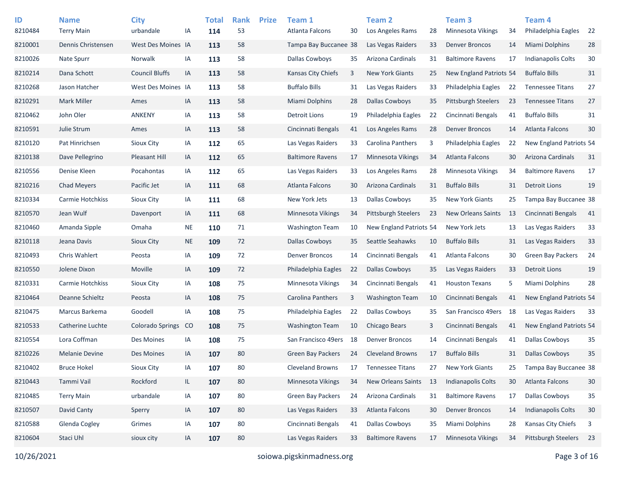| ID<br>8210484 | <b>Name</b><br><b>Terry Main</b> | <b>City</b><br>urbandale | ΙA        | <b>Total</b><br>114 | <b>Rank</b><br>53 | <b>Prize</b> | Team 1<br>Atlanta Falcons | 30 | Team <sub>2</sub><br>Los Angeles Rams | 28 | Team <sub>3</sub><br>Minnesota Vikings | 34 | Team 4<br>Philadelphia Eagles | 22 |
|---------------|----------------------------------|--------------------------|-----------|---------------------|-------------------|--------------|---------------------------|----|---------------------------------------|----|----------------------------------------|----|-------------------------------|----|
| 8210001       | Dennis Christensen               | West Des Moines IA       |           | 113                 | 58                |              | Tampa Bay Buccanee 38     |    | Las Vegas Raiders                     | 33 | <b>Denver Broncos</b>                  | 14 | Miami Dolphins                | 28 |
| 8210026       | <b>Nate Spurr</b>                | Norwalk                  | IA        | 113                 | 58                |              | Dallas Cowboys            | 35 | Arizona Cardinals                     | 31 | <b>Baltimore Ravens</b>                | 17 | <b>Indianapolis Colts</b>     | 30 |
| 8210214       | Dana Schott                      | <b>Council Bluffs</b>    | IA        | 113                 | 58                |              | Kansas City Chiefs        | 3  | <b>New York Giants</b>                | 25 | New England Patriots 54                |    | <b>Buffalo Bills</b>          | 31 |
| 8210268       | Jason Hatcher                    | West Des Moines IA       |           | 113                 | 58                |              | <b>Buffalo Bills</b>      | 31 | Las Vegas Raiders                     | 33 | Philadelphia Eagles                    | 22 | <b>Tennessee Titans</b>       | 27 |
| 8210291       | <b>Mark Miller</b>               | Ames                     | IA        | 113                 | 58                |              | Miami Dolphins            | 28 | <b>Dallas Cowboys</b>                 | 35 | <b>Pittsburgh Steelers</b>             | 23 | <b>Tennessee Titans</b>       | 27 |
| 8210462       | John Oler                        | <b>ANKENY</b>            | IA        | 113                 | 58                |              | <b>Detroit Lions</b>      | 19 | Philadelphia Eagles                   | 22 | Cincinnati Bengals                     | 41 | <b>Buffalo Bills</b>          | 31 |
| 8210591       | Julie Strum                      | Ames                     | IA        | 113                 | 58                |              | Cincinnati Bengals        | 41 | Los Angeles Rams                      | 28 | <b>Denver Broncos</b>                  | 14 | <b>Atlanta Falcons</b>        | 30 |
| 8210120       | Pat Hinrichsen                   | Sioux City               | IA        | 112                 | 65                |              | Las Vegas Raiders         | 33 | <b>Carolina Panthers</b>              | 3  | Philadelphia Eagles                    | 22 | New England Patriots 54       |    |
| 8210138       | Dave Pellegrino                  | Pleasant Hill            | IA        | 112                 | 65                |              | <b>Baltimore Ravens</b>   | 17 | <b>Minnesota Vikings</b>              | 34 | Atlanta Falcons                        | 30 | Arizona Cardinals             | 31 |
| 8210556       | Denise Kleen                     | Pocahontas               | IA        |                     | 65                |              | Las Vegas Raiders         | 33 | Los Angeles Rams                      | 28 | <b>Minnesota Vikings</b>               | 34 | <b>Baltimore Ravens</b>       | 17 |
| 8210216       | <b>Chad Meyers</b>               | Pacific Jet              |           | 112                 | 68                |              |                           | 30 | Arizona Cardinals                     | 31 | <b>Buffalo Bills</b>                   | 31 | <b>Detroit Lions</b>          | 19 |
|               |                                  |                          | IA        | 111                 |                   |              | Atlanta Falcons           |    |                                       |    |                                        |    |                               |    |
| 8210334       | Carmie Hotchkiss                 | Sioux City               | IA        | 111                 | 68                |              | New York Jets             | 13 | <b>Dallas Cowboys</b>                 | 35 | <b>New York Giants</b>                 | 25 | Tampa Bay Buccanee 38         |    |
| 8210570       | Jean Wulf                        | Davenport                | IA        | 111                 | 68                |              | Minnesota Vikings         | 34 | Pittsburgh Steelers                   | 23 | New Orleans Saints                     | 13 | Cincinnati Bengals            | 41 |
| 8210460       | Amanda Sipple                    | Omaha                    | <b>NE</b> | 110                 | 71                |              | <b>Washington Team</b>    | 10 | New England Patriots 54               |    | New York Jets                          | 13 | Las Vegas Raiders             | 33 |
| 8210118       | Jeana Davis                      | Sioux City               | <b>NE</b> | 109                 | 72                |              | <b>Dallas Cowboys</b>     | 35 | Seattle Seahawks                      | 10 | <b>Buffalo Bills</b>                   | 31 | Las Vegas Raiders             | 33 |
| 8210493       | Chris Wahlert                    | Peosta                   | IA        | 109                 | 72                |              | <b>Denver Broncos</b>     | 14 | Cincinnati Bengals                    | 41 | Atlanta Falcons                        | 30 | <b>Green Bay Packers</b>      | 24 |
| 8210550       | Jolene Dixon                     | Moville                  | IA        | 109                 | 72                |              | Philadelphia Eagles       | 22 | <b>Dallas Cowboys</b>                 | 35 | Las Vegas Raiders                      | 33 | <b>Detroit Lions</b>          | 19 |
| 8210331       | Carmie Hotchkiss                 | <b>Sioux City</b>        | IA        | 108                 | 75                |              | Minnesota Vikings         | 34 | Cincinnati Bengals                    | 41 | <b>Houston Texans</b>                  | 5  | Miami Dolphins                | 28 |
| 8210464       | Deanne Schieltz                  | Peosta                   | IA        | 108                 | 75                |              | Carolina Panthers         | 3  | <b>Washington Team</b>                | 10 | Cincinnati Bengals                     | 41 | New England Patriots 54       |    |
| 8210475       | Marcus Barkema                   | Goodell                  | IA        | 108                 | 75                |              | Philadelphia Eagles       | 22 | <b>Dallas Cowboys</b>                 | 35 | San Francisco 49ers                    | 18 | Las Vegas Raiders             | 33 |
| 8210533       | Catherine Luchte                 | <b>Colorado Springs</b>  | CO        | 108                 | 75                |              | <b>Washington Team</b>    | 10 | Chicago Bears                         | 3  | Cincinnati Bengals                     | 41 | New England Patriots 54       |    |
| 8210554       | Lora Coffman                     | Des Moines               | IA        | 108                 | 75                |              | San Francisco 49ers       | 18 | <b>Denver Broncos</b>                 | 14 | Cincinnati Bengals                     | 41 | <b>Dallas Cowboys</b>         | 35 |
| 8210226       | <b>Melanie Devine</b>            | Des Moines               | IA        | 107                 | 80                |              | <b>Green Bay Packers</b>  | 24 | <b>Cleveland Browns</b>               | 17 | <b>Buffalo Bills</b>                   | 31 | <b>Dallas Cowboys</b>         | 35 |
| 8210402       | <b>Bruce Hokel</b>               | Sioux City               | IA        | 107                 | 80                |              | <b>Cleveland Browns</b>   | 17 | <b>Tennessee Titans</b>               | 27 | New York Giants                        | 25 | Tampa Bay Buccanee 38         |    |
| 8210443       | Tammi Vail                       | Rockford                 | IL        | 107                 | 80                |              | Minnesota Vikings         | 34 | New Orleans Saints                    | 13 | Indianapolis Colts                     | 30 | <b>Atlanta Falcons</b>        | 30 |
| 8210485       | <b>Terry Main</b>                | urbandale                | IA        | 107                 | 80                |              | Green Bay Packers         | 24 | Arizona Cardinals                     | 31 | <b>Baltimore Ravens</b>                | 17 | <b>Dallas Cowboys</b>         | 35 |
| 8210507       | David Canty                      | Sperry                   | IA        | 107                 | 80                |              | Las Vegas Raiders         | 33 | Atlanta Falcons                       | 30 | <b>Denver Broncos</b>                  | 14 | <b>Indianapolis Colts</b>     | 30 |
| 8210588       | Glenda Cogley                    | Grimes                   | IA        | 107                 | 80                |              | Cincinnati Bengals        | 41 | <b>Dallas Cowboys</b>                 | 35 | Miami Dolphins                         | 28 | Kansas City Chiefs            | 3  |
| 8210604       | Staci Uhl                        | sioux city               | IA        | 107                 | 80                |              | Las Vegas Raiders         | 33 | <b>Baltimore Ravens</b>               | 17 | Minnesota Vikings                      | 34 | Pittsburgh Steelers           | 23 |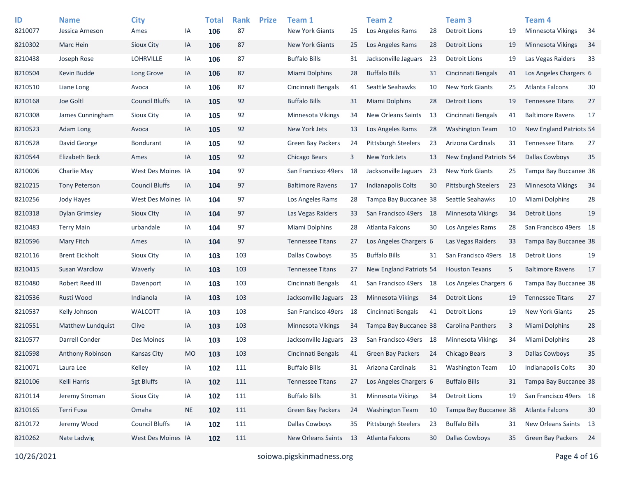| ID      | <b>Name</b>           | <b>City</b>           |           | <b>Total</b> | <b>Rank</b> | <b>Prize</b> | Team 1                   |    | <b>Team 2</b>              |      | Team <sub>3</sub>        |    | Team <sub>4</sub>        |    |
|---------|-----------------------|-----------------------|-----------|--------------|-------------|--------------|--------------------------|----|----------------------------|------|--------------------------|----|--------------------------|----|
| 8210077 | Jessica Arneson       | Ames                  | IA        | 106          | 87          |              | <b>New York Giants</b>   | 25 | Los Angeles Rams           | 28   | <b>Detroit Lions</b>     | 19 | Minnesota Vikings        | 34 |
| 8210302 | Marc Hein             | Sioux City            | IA        | 106          | 87          |              | <b>New York Giants</b>   | 25 | Los Angeles Rams           | 28   | <b>Detroit Lions</b>     | 19 | <b>Minnesota Vikings</b> | 34 |
| 8210438 | Joseph Rose           | <b>LOHRVILLE</b>      | IA        | 106          | 87          |              | <b>Buffalo Bills</b>     | 31 | Jacksonville Jaguars       | 23   | <b>Detroit Lions</b>     | 19 | Las Vegas Raiders        | 33 |
| 8210504 | Kevin Budde           | Long Grove            | IA        | 106          | 87          |              | Miami Dolphins           | 28 | <b>Buffalo Bills</b>       | 31   | Cincinnati Bengals       | 41 | Los Angeles Chargers 6   |    |
| 8210510 | Liane Long            | Avoca                 | IA        | 106          | 87          |              | Cincinnati Bengals       | 41 | Seattle Seahawks           | 10   | <b>New York Giants</b>   | 25 | Atlanta Falcons          | 30 |
| 8210168 | Joe Goltl             | <b>Council Bluffs</b> | IA        | 105          | 92          |              | <b>Buffalo Bills</b>     | 31 | Miami Dolphins             | 28   | <b>Detroit Lions</b>     | 19 | <b>Tennessee Titans</b>  | 27 |
| 8210308 | James Cunningham      | Sioux City            | IA        | 105          | 92          |              | Minnesota Vikings        | 34 | <b>New Orleans Saints</b>  | 13   | Cincinnati Bengals       | 41 | <b>Baltimore Ravens</b>  | 17 |
| 8210523 | Adam Long             | Avoca                 | IA        | 105          | 92          |              | New York Jets            | 13 | Los Angeles Rams           | 28   | Washington Team          | 10 | New England Patriots 54  |    |
| 8210528 | David George          | <b>Bondurant</b>      | IA        | 105          | 92          |              | <b>Green Bay Packers</b> | 24 | <b>Pittsburgh Steelers</b> | 23   | Arizona Cardinals        | 31 | <b>Tennessee Titans</b>  | 27 |
| 8210544 | <b>Elizabeth Beck</b> | Ames                  | IA        | 105          | 92          |              | Chicago Bears            | 3  | New York Jets              | 13   | New England Patriots 54  |    | <b>Dallas Cowboys</b>    | 35 |
| 8210006 | Charlie May           | West Des Moines IA    |           | 104          | 97          |              | San Francisco 49ers      | 18 | Jacksonville Jaguars       | 23   | <b>New York Giants</b>   | 25 | Tampa Bay Buccanee 38    |    |
| 8210215 | <b>Tony Peterson</b>  | <b>Council Bluffs</b> | IA        | 104          | 97          |              | <b>Baltimore Ravens</b>  | 17 | <b>Indianapolis Colts</b>  | 30   | Pittsburgh Steelers      | 23 | Minnesota Vikings        | 34 |
| 8210256 | Jody Hayes            | West Des Moines IA    |           | 104          | 97          |              | Los Angeles Rams         | 28 | Tampa Bay Buccanee 38      |      | Seattle Seahawks         | 10 | Miami Dolphins           | 28 |
| 8210318 | Dylan Grimsley        | Sioux Clty            | IA        | 104          | 97          |              | Las Vegas Raiders        | 33 | San Francisco 49ers        | - 18 | <b>Minnesota Vikings</b> | 34 | <b>Detroit Lions</b>     | 19 |
| 8210483 | <b>Terry Main</b>     | urbandale             | IA        | 104          | 97          |              | Miami Dolphins           | 28 | <b>Atlanta Falcons</b>     | 30   | Los Angeles Rams         | 28 | San Francisco 49ers 18   |    |
| 8210596 | Mary Fitch            | Ames                  | IA        | 104          | 97          |              | <b>Tennessee Titans</b>  | 27 | Los Angeles Chargers 6     |      | Las Vegas Raiders        | 33 | Tampa Bay Buccanee 38    |    |
| 8210116 | <b>Brent Eickholt</b> | <b>Sioux City</b>     | IA        | 103          | 103         |              | <b>Dallas Cowboys</b>    | 35 | <b>Buffalo Bills</b>       | 31   | San Francisco 49ers      | 18 | Detroit Lions            | 19 |
| 8210415 | Susan Wardlow         | Waverly               | IA        | 103          | 103         |              | <b>Tennessee Titans</b>  | 27 | New England Patriots 54    |      | <b>Houston Texans</b>    | 5  | <b>Baltimore Ravens</b>  | 17 |
| 8210480 | Robert Reed III       | Davenport             | IA        | 103          | 103         |              | Cincinnati Bengals       | 41 | San Francisco 49ers 18     |      | Los Angeles Chargers 6   |    | Tampa Bay Buccanee 38    |    |
| 8210536 | Rusti Wood            | Indianola             | IA        | 103          | 103         |              | Jacksonville Jaguars     | 23 | Minnesota Vikings          | 34   | <b>Detroit Lions</b>     | 19 | <b>Tennessee Titans</b>  | 27 |
| 8210537 | Kelly Johnson         | <b>WALCOTT</b>        | IA        | 103          | 103         |              | San Francisco 49ers      | 18 | Cincinnati Bengals         | 41   | <b>Detroit Lions</b>     | 19 | <b>New York Giants</b>   | 25 |
| 8210551 | Matthew Lundquist     | Clive                 | IA        | 103          | 103         |              | Minnesota Vikings        | 34 | Tampa Bay Buccanee 38      |      | <b>Carolina Panthers</b> | 3  | Miami Dolphins           | 28 |
| 8210577 | Darrell Conder        | Des Moines            | IA        | 103          | 103         |              | Jacksonville Jaguars     | 23 | San Francisco 49ers 18     |      | Minnesota Vikings        | 34 | Miami Dolphins           | 28 |
| 8210598 | Anthony Robinson      | <b>Kansas City</b>    | <b>MO</b> | 103          | 103         |              | Cincinnati Bengals       | 41 | <b>Green Bay Packers</b>   | 24   | Chicago Bears            | 3  | <b>Dallas Cowboys</b>    | 35 |
| 8210071 | Laura Lee             | Kelley                | ΙA        | 102          | 111         |              | <b>Buffalo Bills</b>     | 31 | Arizona Cardinals          | 31   | <b>Washington Team</b>   | 10 | Indianapolis Colts       | 30 |
| 8210106 | Kelli Harris          | <b>Sgt Bluffs</b>     | IA        | 102          | 111         |              | <b>Tennessee Titans</b>  | 27 | Los Angeles Chargers 6     |      | <b>Buffalo Bills</b>     | 31 | Tampa Bay Buccanee 38    |    |
| 8210114 | Jeremy Stroman        | Sioux City            | IA        | 102          | 111         |              | <b>Buffalo Bills</b>     | 31 | Minnesota Vikings          | 34   | <b>Detroit Lions</b>     | 19 | San Francisco 49ers 18   |    |
| 8210165 | Terri Fuxa            | Omaha                 | <b>NE</b> | 102          | 111         |              | Green Bay Packers        | 24 | <b>Washington Team</b>     | 10   | Tampa Bay Buccanee 38    |    | <b>Atlanta Falcons</b>   | 30 |
| 8210172 | Jeremy Wood           | <b>Council Bluffs</b> | IA        | 102          | 111         |              | <b>Dallas Cowboys</b>    | 35 | Pittsburgh Steelers        | 23   | <b>Buffalo Bills</b>     | 31 | New Orleans Saints 13    |    |
| 8210262 | Nate Ladwig           | West Des Moines IA    |           | 102          | 111         |              | New Orleans Saints       | 13 | Atlanta Falcons            | 30   | <b>Dallas Cowboys</b>    | 35 | Green Bay Packers        | 24 |
|         |                       |                       |           |              |             |              |                          |    |                            |      |                          |    |                          |    |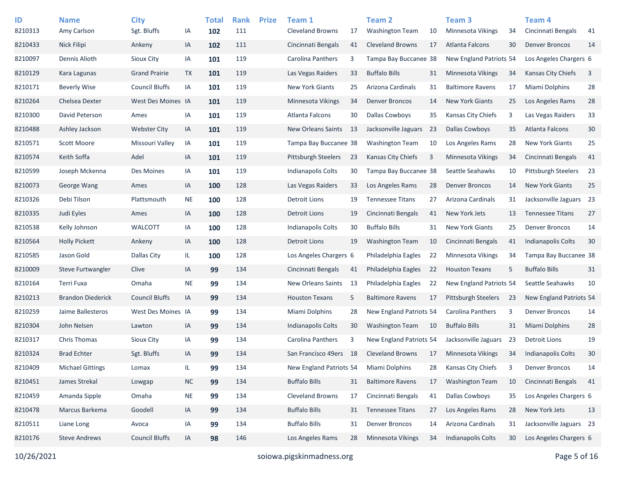| ID<br>8210313 | <b>Name</b><br>Amy Carlson | <b>City</b><br>Sgt. Bluffs | IA         | <b>Total</b><br>102 | <b>Rank</b><br>111 | <b>Prize</b> | Team 1<br><b>Cleveland Browns</b> | 17 | Team <sub>2</sub><br><b>Washington Team</b> | 10   | Team <sub>3</sub><br>Minnesota Vikings | 34 | Team 4<br>Cincinnati Bengals |          |
|---------------|----------------------------|----------------------------|------------|---------------------|--------------------|--------------|-----------------------------------|----|---------------------------------------------|------|----------------------------------------|----|------------------------------|----------|
| 8210433       | <b>Nick Filipi</b>         | Ankeny                     | IA         | 102                 | 111                |              | Cincinnati Bengals                | 41 | <b>Cleveland Browns</b>                     | 17   | <b>Atlanta Falcons</b>                 | 30 | <b>Denver Broncos</b>        | 41<br>14 |
| 8210097       | Dennis Alioth              | Sioux City                 |            |                     | 119                |              | Carolina Panthers                 |    | Tampa Bay Buccanee 38                       |      | New England Patriots 54                |    | Los Angeles Chargers 6       |          |
|               |                            |                            | IA         | 101                 |                    |              |                                   | 3  |                                             |      |                                        |    |                              |          |
| 8210129       | Kara Lagunas               | <b>Grand Prairie</b>       | <b>TX</b>  | 101                 | 119                |              | Las Vegas Raiders                 | 33 | <b>Buffalo Bills</b>                        | 31   | <b>Minnesota Vikings</b>               | 34 | <b>Kansas City Chiefs</b>    | 3        |
| 8210171       | <b>Beverly Wise</b>        | <b>Council Bluffs</b>      | IA         | 101                 | 119                |              | New York Giants                   | 25 | Arizona Cardinals                           | 31   | <b>Baltimore Ravens</b>                | 17 | Miami Dolphins               | 28       |
| 8210264       | Chelsea Dexter             | West Des Moines IA         |            | 101                 | 119                |              | <b>Minnesota Vikings</b>          | 34 | <b>Denver Broncos</b>                       | 14   | <b>New York Giants</b>                 | 25 | Los Angeles Rams             | 28       |
| 8210300       | David Peterson             | Ames                       | IA         | 101                 | 119                |              | Atlanta Falcons                   | 30 | <b>Dallas Cowboys</b>                       | 35   | Kansas City Chiefs                     | 3  | Las Vegas Raiders            | 33       |
| 8210488       | Ashley Jackson             | <b>Webster City</b>        | IA         | 101                 | 119                |              | New Orleans Saints                | 13 | Jacksonville Jaguars                        | - 23 | <b>Dallas Cowboys</b>                  | 35 | Atlanta Falcons              | 30       |
| 8210571       | Scott Moore                | Missouri Valley            | IA         | 101                 | 119                |              | Tampa Bay Buccanee 38             |    | <b>Washington Team</b>                      | 10   | Los Angeles Rams                       | 28 | <b>New York Giants</b>       | 25       |
| 8210574       | Keith Soffa                | Adel                       | IA         | 101                 | 119                |              | <b>Pittsburgh Steelers</b>        | 23 | <b>Kansas City Chiefs</b>                   | 3    | <b>Minnesota Vikings</b>               | 34 | Cincinnati Bengals           | 41       |
| 8210599       | Joseph Mckenna             | Des Moines                 | IA         | 101                 | 119                |              | Indianapolis Colts                | 30 | Tampa Bay Buccanee 38                       |      | Seattle Seahawks                       | 10 | Pittsburgh Steelers          | 23       |
| 8210073       | George Wang                | Ames                       | IA         | 100                 | 128                |              | Las Vegas Raiders                 | 33 | Los Angeles Rams                            | 28   | <b>Denver Broncos</b>                  | 14 | <b>New York Giants</b>       | 25       |
| 8210326       | Debi Tilson                | Plattsmouth                | <b>NE</b>  | 100                 | 128                |              | <b>Detroit Lions</b>              | 19 | <b>Tennessee Titans</b>                     | 27   | Arizona Cardinals                      | 31 | Jacksonville Jaguars 23      |          |
| 8210335       | Judi Eyles                 | Ames                       | IA         | 100                 | 128                |              | <b>Detroit Lions</b>              | 19 | Cincinnati Bengals                          | 41   | New York Jets                          | 13 | <b>Tennessee Titans</b>      | 27       |
| 8210538       | Kelly Johnson              | <b>WALCOTT</b>             | IA         | 100                 | 128                |              | <b>Indianapolis Colts</b>         | 30 | <b>Buffalo Bills</b>                        | 31   | <b>New York Giants</b>                 | 25 | <b>Denver Broncos</b>        | 14       |
| 8210564       | <b>Holly Pickett</b>       | Ankeny                     | IA         | 100                 | 128                |              | <b>Detroit Lions</b>              | 19 | <b>Washington Team</b>                      | 10   | Cincinnati Bengals                     | 41 | <b>Indianapolis Colts</b>    | 30       |
| 8210585       | Jason Gold                 | Dallas City                | IL.        | 100                 | 128                |              | Los Angeles Chargers 6            |    | Philadelphia Eagles                         | 22   | <b>Minnesota Vikings</b>               | 34 | Tampa Bay Buccanee 38        |          |
| 8210009       | Steve Furtwangler          | Clive                      | IA         | 99                  | 134                |              | Cincinnati Bengals                | 41 | Philadelphia Eagles                         | 22   | <b>Houston Texans</b>                  | 5  | <b>Buffalo Bills</b>         | 31       |
| 8210164       | Terri Fuxa                 | Omaha                      | <b>NE</b>  | 99                  | 134                |              | New Orleans Saints                | 13 | Philadelphia Eagles                         | 22   | New England Patriots 54                |    | Seattle Seahawks             | 10       |
| 8210213       | <b>Brandon Diederick</b>   | <b>Council Bluffs</b>      | IA         | 99                  | 134                |              | <b>Houston Texans</b>             | 5  | <b>Baltimore Ravens</b>                     | 17   | <b>Pittsburgh Steelers</b>             | 23 | New England Patriots 54      |          |
| 8210259       | Jaime Ballesteros          | West Des Moines IA         |            | 99                  | 134                |              | Miami Dolphins                    | 28 | New England Patriots 54                     |      | <b>Carolina Panthers</b>               | 3  | <b>Denver Broncos</b>        | 14       |
| 8210304       | John Nelsen                | Lawton                     | IA         | 99                  | 134                |              | Indianapolis Colts                | 30 | <b>Washington Team</b>                      | 10   | <b>Buffalo Bills</b>                   | 31 | Miami Dolphins               | 28       |
| 8210317       | <b>Chris Thomas</b>        | Sioux City                 | IA         | 99                  | 134                |              | Carolina Panthers                 | 3  | New England Patriots 54                     |      | Jacksonville Jaguars                   | 23 | <b>Detroit Lions</b>         | 19       |
| 8210324       | <b>Brad Echter</b>         | Sgt. Bluffs                | IA         | 99                  | 134                |              | San Francisco 49ers               | 18 | <b>Cleveland Browns</b>                     | 17   | <b>Minnesota Vikings</b>               | 34 | <b>Indianapolis Colts</b>    | 30       |
| 8210409       | <b>Michael Gittings</b>    | Lomax                      | IL.        | 99                  | 134                |              | New England Patriots 54           |    | Miami Dolphins                              | 28   | Kansas City Chiefs                     | 3  | <b>Denver Broncos</b>        | 14       |
| 8210451       | James Strekal              | Lowgap                     | ${\sf NC}$ | 99                  | 134                |              | <b>Buffalo Bills</b>              | 31 | <b>Baltimore Ravens</b>                     | 17   | <b>Washington Team</b>                 | 10 | Cincinnati Bengals           | 41       |
| 8210459       | Amanda Sipple              | Omaha                      | <b>NE</b>  | 99                  | 134                |              | Cleveland Browns                  | 17 | Cincinnati Bengals                          | 41   | Dallas Cowboys                         | 35 | Los Angeles Chargers 6       |          |
| 8210478       | Marcus Barkema             | Goodell                    | IA         | 99                  | 134                |              | <b>Buffalo Bills</b>              | 31 | <b>Tennessee Titans</b>                     | 27   | Los Angeles Rams                       | 28 | New York Jets                | 13       |
| 8210511       | Liane Long                 | Avoca                      | IA         | 99                  | 134                |              | <b>Buffalo Bills</b>              | 31 | <b>Denver Broncos</b>                       | 14   | Arizona Cardinals                      | 31 | Jacksonville Jaguars 23      |          |
| 8210176       | <b>Steve Andrews</b>       | <b>Council Bluffs</b>      | IA         | 98                  | 146                |              | Los Angeles Rams                  | 28 | Minnesota Vikings                           | 34   | Indianapolis Colts                     | 30 | Los Angeles Chargers 6       |          |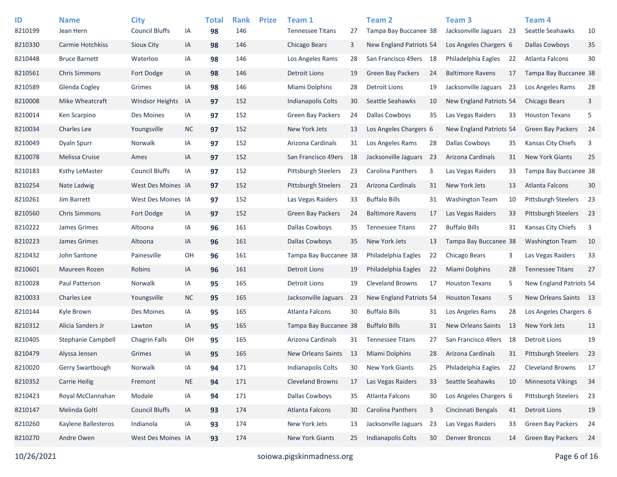| ID<br>8210199 | <b>Name</b><br>Jean Hern  | <b>City</b><br><b>Council Bluffs</b> | IA        | <b>Total</b><br>98 | <b>Rank</b><br>146 | <b>Prize</b> | Team 1<br><b>Tennessee Titans</b> | 27  | Team 2<br>Tampa Bay Buccanee 38 |      | Team <sub>3</sub><br>Jacksonville Jaguars 23 |     | Team 4<br>Seattle Seahawks | 10 |
|---------------|---------------------------|--------------------------------------|-----------|--------------------|--------------------|--------------|-----------------------------------|-----|---------------------------------|------|----------------------------------------------|-----|----------------------------|----|
| 8210330       | Carmie Hotchkiss          | Sioux City                           | IA        | 98                 | 146                |              | Chicago Bears                     | 3   | New England Patriots 54         |      | Los Angeles Chargers 6                       |     | <b>Dallas Cowboys</b>      | 35 |
| 8210448       | <b>Bruce Barnett</b>      | Waterloo                             | IA        | 98                 | 146                |              | Los Angeles Rams                  | 28  | San Francisco 49ers 18          |      | Philadelphia Eagles                          | 22  | Atlanta Falcons            | 30 |
| 8210561       | <b>Chris Simmons</b>      | Fort Dodge                           | IA        | 98                 | 146                |              | <b>Detroit Lions</b>              | 19  | <b>Green Bay Packers</b>        | 24   | <b>Baltimore Ravens</b>                      | 17  | Tampa Bay Buccanee 38      |    |
| 8210589       | Glenda Cogley             | Grimes                               | IA        | 98                 | 146                |              | Miami Dolphins                    | 28  | <b>Detroit Lions</b>            | 19   | Jacksonville Jaguars                         | 23  | Los Angeles Rams           | 28 |
| 8210008       | Mike Wheatcraft           | <b>Windsor Heights</b>               | IA        | 97                 | 152                |              | <b>Indianapolis Colts</b>         | 30  | Seattle Seahawks                | 10   | New England Patriots 54                      |     | <b>Chicago Bears</b>       | 3  |
| 8210014       | Ken Scarpino              | Des Moines                           | IA        | 97                 | 152                |              | <b>Green Bay Packers</b>          | 24  | <b>Dallas Cowboys</b>           | 35   | Las Vegas Raiders                            | 33  | <b>Houston Texans</b>      | 5  |
| 8210034       | <b>Charles Lee</b>        | Youngsville                          | <b>NC</b> | 97                 | 152                |              | New York Jets                     | 13  | Los Angeles Chargers 6          |      | New England Patriots 54                      |     | <b>Green Bay Packers</b>   | 24 |
| 8210049       | <b>Dyaln Spurr</b>        | Norwalk                              | IA        | 97                 | 152                |              | Arizona Cardinals                 | 31  | Los Angeles Rams                | 28   | Dallas Cowboys                               | 35  | Kansas City Chiefs         | 3  |
| 8210078       | Melissa Cruise            | Ames                                 | IA        | 97                 | 152                |              | San Francisco 49ers               | 18  | Jacksonville Jaguars            | - 23 | Arizona Cardinals                            | 31  | <b>New York Giants</b>     | 25 |
| 8210183       | Ksthy LeMaster            | <b>Council Bluffs</b>                | IA        | 97                 | 152                |              | <b>Pittsburgh Steelers</b>        | 23  | <b>Carolina Panthers</b>        | 3    | Las Vegas Raiders                            | 33  | Tampa Bay Buccanee 38      |    |
| 8210254       | Nate Ladwig               | West Des Moines IA                   |           | 97                 | 152                |              | <b>Pittsburgh Steelers</b>        | 23  | Arizona Cardinals               | 31   | New York Jets                                | 13  | Atlanta Falcons            | 30 |
| 8210261       | Jim Barrett               | West Des Moines IA                   |           | 97                 | 152                |              | Las Vegas Raiders                 | 33  | <b>Buffalo Bills</b>            | 31   | <b>Washington Team</b>                       | 10  | <b>Pittsburgh Steelers</b> | 23 |
| 8210560       | <b>Chris Simmons</b>      | Fort Dodge                           | IA        | 97                 | 152                |              | Green Bay Packers                 | 24  | <b>Baltimore Ravens</b>         | 17   | Las Vegas Raiders                            | 33  | <b>Pittsburgh Steelers</b> | 23 |
| 8210222       | James Grimes              | Altoona                              | IA        | 96                 | 161                |              | <b>Dallas Cowboys</b>             | 35  | <b>Tennessee Titans</b>         | 27   | <b>Buffalo Bills</b>                         | 31  | Kansas City Chiefs         | 3  |
| 8210223       | James Grimes              | Altoona                              | IA        | 96                 | 161                |              | Dallas Cowboys                    | 35  | New York Jets                   | 13   | Tampa Bay Buccanee 38                        |     | <b>Washington Team</b>     | 10 |
| 8210432       | John Santone              | Painesville                          | OH        | 96                 | 161                |              | Tampa Bay Buccanee 38             |     | Philadelphia Eagles             | 22   | Chicago Bears                                | 3   | Las Vegas Raiders          | 33 |
| 8210601       | Maureen Rozen             | Robins                               | IA        | 96                 | 161                |              | <b>Detroit Lions</b>              | 19  | Philadelphia Eagles             | 22   | Miami Dolphins                               | 28  | <b>Tennessee Titans</b>    | 27 |
| 8210028       | Paul Patterson            | Norwalk                              | IA        | 95                 | 165                |              | <b>Detroit Lions</b>              | 19  | <b>Cleveland Browns</b>         | 17   | <b>Houston Texans</b>                        | 5   | New England Patriots 54    |    |
| 8210033       | <b>Charles Lee</b>        | Youngsville                          | <b>NC</b> | 95                 | 165                |              | Jacksonville Jaguars              | -23 | New England Patriots 54         |      | <b>Houston Texans</b>                        | 5   | New Orleans Saints 13      |    |
| 8210144       | Kyle Brown                | Des Moines                           | IA        | 95                 | 165                |              | Atlanta Falcons                   | 30  | <b>Buffalo Bills</b>            | 31   | Los Angeles Rams                             | 28  | Los Angeles Chargers 6     |    |
| 8210312       | Alicia Sanders Jr         | Lawton                               | IA        | 95                 | 165                |              | Tampa Bay Buccanee 38             |     | <b>Buffalo Bills</b>            | 31   | <b>New Orleans Saints</b>                    | -13 | New York Jets              | 13 |
| 8210405       | <b>Stephanie Campbell</b> | <b>Chagrin Falls</b>                 | OН        | 95                 | 165                |              | Arizona Cardinals                 | 31  | <b>Tennessee Titans</b>         | 27   | San Francisco 49ers                          | 18  | <b>Detroit Lions</b>       | 19 |
| 8210479       | Alyssa Jensen             | Grimes                               | IA        | 95                 | 165                |              | <b>New Orleans Saints</b>         | 13  | Miami Dolphins                  | 28   | Arizona Cardinals                            | 31  | <b>Pittsburgh Steelers</b> | 23 |
| 8210020       | Gerry Swartbough          | Norwalk                              | IA        | 94                 | 171                |              | Indianapolis Colts                | 30  | <b>New York Giants</b>          | 25   | Philadelphia Eagles                          | 22  | <b>Cleveland Browns</b>    | 17 |
| 8210352       | <b>Carrie Heilig</b>      | Fremont                              | <b>NE</b> | 94                 | 171                |              | <b>Cleveland Browns</b>           | 17  | Las Vegas Raiders               | 33   | Seattle Seahawks                             | 10  | Minnesota Vikings          | 34 |
| 8210423       | Royal McClannahan         | Modale                               | IA        | 94                 | 171                |              | Dallas Cowboys                    | 35  | Atlanta Falcons                 | 30   | Los Angeles Chargers 6                       |     | Pittsburgh Steelers        | 23 |
| 8210147       | Melinda Goltl             | <b>Council Bluffs</b>                | IA        | 93                 | 174                |              | Atlanta Falcons                   | 30  | Carolina Panthers               | 3    | Cincinnati Bengals                           | 41  | <b>Detroit Lions</b>       | 19 |
| 8210260       | Kaylene Ballesteros       | Indianola                            | IA        | 93                 | 174                |              | New York Jets                     | 13  | Jacksonville Jaguars            | -23  | Las Vegas Raiders                            | 33  | Green Bay Packers          | 24 |
| 8210270       | Andre Owen                | West Des Moines IA                   |           | 93                 | 174                |              | <b>New York Giants</b>            | 25  | <b>Indianapolis Colts</b>       | 30   | <b>Denver Broncos</b>                        | 14  | Green Bay Packers          | 24 |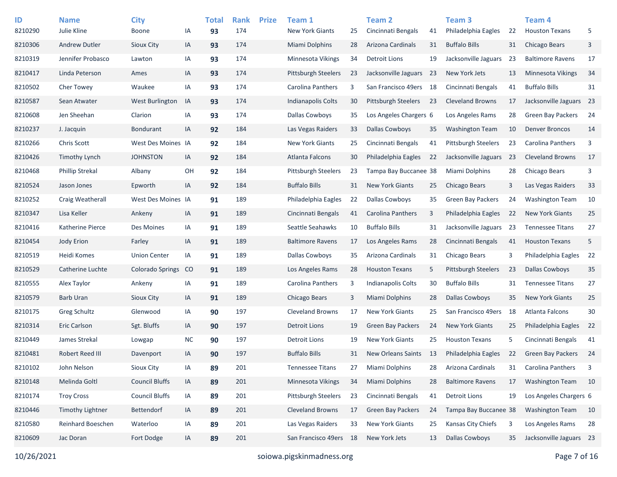| ID<br>8210290 | <b>Name</b><br>Julie Kline | <b>City</b><br><b>Boone</b> | ΙA        | <b>Total</b><br>93 | <b>Rank</b><br>174 | <b>Prize</b> | Team 1<br><b>New York Giants</b> | 25 | <b>Team 2</b><br>Cincinnati Bengals | 41   | Team <sub>3</sub><br>Philadelphia Eagles | 22 | <b>Team 4</b><br><b>Houston Texans</b> | 5   |
|---------------|----------------------------|-----------------------------|-----------|--------------------|--------------------|--------------|----------------------------------|----|-------------------------------------|------|------------------------------------------|----|----------------------------------------|-----|
| 8210306       | <b>Andrew Dutler</b>       | Sioux City                  | IA        | 93                 | 174                |              | <b>Miami Dolphins</b>            | 28 | Arizona Cardinals                   | 31   | <b>Buffalo Bills</b>                     | 31 | <b>Chicago Bears</b>                   | 3   |
| 8210319       | Jennifer Probasco          | Lawton                      | IA        | 93                 | 174                |              | Minnesota Vikings                | 34 | Detroit Lions                       | 19   | Jacksonville Jaguars                     | 23 | <b>Baltimore Ravens</b>                | 17  |
| 8210417       | Linda Peterson             | Ames                        | IA        | 93                 | 174                |              | Pittsburgh Steelers              | 23 | Jacksonville Jaguars                | - 23 | New York Jets                            | 13 | Minnesota Vikings                      | 34  |
| 8210502       | Cher Towey                 | Waukee                      | IA        | 93                 | 174                |              | Carolina Panthers                | 3  | San Francisco 49ers                 | 18   | Cincinnati Bengals                       | 41 | <b>Buffalo Bills</b>                   | 31  |
| 8210587       | Sean Atwater               | West Burlington             | IA        | 93                 | 174                |              | Indianapolis Colts               | 30 | <b>Pittsburgh Steelers</b>          | 23   | <b>Cleveland Browns</b>                  | 17 | Jacksonville Jaguars 23                |     |
| 8210608       | Jen Sheehan                | Clarion                     | IA        | 93                 | 174                |              | Dallas Cowboys                   | 35 | Los Angeles Chargers 6              |      | Los Angeles Rams                         | 28 | <b>Green Bay Packers</b>               | 24  |
| 8210237       | J. Jacquin                 | <b>Bondurant</b>            | IA        | 92                 | 184                |              | Las Vegas Raiders                | 33 | <b>Dallas Cowboys</b>               | 35   | <b>Washington Team</b>                   | 10 | <b>Denver Broncos</b>                  | 14  |
| 8210266       | Chris Scott                | West Des Moines IA          |           | 92                 | 184                |              | <b>New York Giants</b>           | 25 | Cincinnati Bengals                  | 41   | <b>Pittsburgh Steelers</b>               | 23 | Carolina Panthers                      | 3   |
| 8210426       | Timothy Lynch              | <b>JOHNSTON</b>             | IA        | 92                 | 184                |              | <b>Atlanta Falcons</b>           | 30 | Philadelphia Eagles                 | 22   | Jacksonville Jaguars                     | 23 | <b>Cleveland Browns</b>                | 17  |
| 8210468       | <b>Phillip Strekal</b>     | Albany                      | OH        | 92                 | 184                |              | <b>Pittsburgh Steelers</b>       | 23 | Tampa Bay Buccanee 38               |      | Miami Dolphins                           | 28 | Chicago Bears                          | 3   |
| 8210524       | Jason Jones                | Epworth                     | IA        | 92                 | 184                |              | <b>Buffalo Bills</b>             | 31 | <b>New York Giants</b>              | 25   | Chicago Bears                            | 3  | Las Vegas Raiders                      | 33  |
| 8210252       | Craig Weatherall           | West Des Moines IA          |           | 91                 | 189                |              | Philadelphia Eagles              | 22 | <b>Dallas Cowboys</b>               | 35   | <b>Green Bay Packers</b>                 | 24 | <b>Washington Team</b>                 | 10  |
| 8210347       | Lisa Keller                | Ankeny                      | IA        | 91                 | 189                |              | Cincinnati Bengals               | 41 | Carolina Panthers                   | 3    | Philadelphia Eagles                      | 22 | <b>New York Giants</b>                 | 25  |
| 8210416       | Katherine Pierce           | Des Moines                  | IA        | 91                 | 189                |              | Seattle Seahawks                 | 10 | <b>Buffalo Bills</b>                | 31   | Jacksonville Jaguars                     | 23 | <b>Tennessee Titans</b>                | 27  |
| 8210454       | Jody Erion                 | Farley                      | IA        | 91                 | 189                |              | <b>Baltimore Ravens</b>          | 17 | Los Angeles Rams                    | 28   | Cincinnati Bengals                       | 41 | <b>Houston Texans</b>                  | 5   |
| 8210519       | Heidi Komes                | <b>Union Center</b>         | IA        | 91                 | 189                |              | <b>Dallas Cowboys</b>            | 35 | Arizona Cardinals                   | 31   | Chicago Bears                            | 3  | Philadelphia Eagles                    | 22  |
| 8210529       | Catherine Luchte           | <b>Colorado Springs</b>     | CO        | 91                 | 189                |              | Los Angeles Rams                 | 28 | <b>Houston Texans</b>               | 5    | <b>Pittsburgh Steelers</b>               | 23 | <b>Dallas Cowboys</b>                  | 35  |
| 8210555       | Alex Taylor                | Ankeny                      | IA        | 91                 | 189                |              | Carolina Panthers                | 3  | <b>Indianapolis Colts</b>           | 30   | <b>Buffalo Bills</b>                     | 31 | <b>Tennessee Titans</b>                | 27  |
| 8210579       | <b>Barb Uran</b>           | Sioux City                  | IA        | 91                 | 189                |              | Chicago Bears                    | 3  | Miami Dolphins                      | 28   | <b>Dallas Cowboys</b>                    | 35 | <b>New York Giants</b>                 | 25  |
| 8210175       | Greg Schultz               | Glenwood                    | IA        | 90                 | 197                |              | <b>Cleveland Browns</b>          | 17 | <b>New York Giants</b>              | 25   | San Francisco 49ers                      | 18 | Atlanta Falcons                        | 30  |
| 8210314       | <b>Eric Carlson</b>        | Sgt. Bluffs                 | IA        | 90                 | 197                |              | <b>Detroit Lions</b>             | 19 | Green Bay Packers                   | 24   | <b>New York Giants</b>                   | 25 | Philadelphia Eagles                    | 22  |
| 8210449       | James Strekal              | Lowgap                      | <b>NC</b> | 90                 | 197                |              | <b>Detroit Lions</b>             | 19 | <b>New York Giants</b>              | 25   | <b>Houston Texans</b>                    | 5  | Cincinnati Bengals                     | 41  |
| 8210481       | Robert Reed III            | Davenport                   | IA        | 90                 | 197                |              | <b>Buffalo Bills</b>             | 31 | <b>New Orleans Saints</b>           | 13   | Philadelphia Eagles                      | 22 | <b>Green Bay Packers</b>               | -24 |
| 8210102       | John Nelson                | Sioux City                  | IA        | 89                 | 201                |              | <b>Tennessee Titans</b>          | 27 | Miami Dolphins                      | 28   | Arizona Cardinals                        | 31 | Carolina Panthers                      | 3   |
| 8210148       | Melinda Goltl              | <b>Council Bluffs</b>       | IA        | 89                 | 201                |              | Minnesota Vikings                | 34 | Miami Dolphins                      | 28   | <b>Baltimore Ravens</b>                  | 17 | <b>Washington Team</b>                 | 10  |
| 8210174       | <b>Troy Cross</b>          | <b>Council Bluffs</b>       | IA        | 89                 | 201                |              | <b>Pittsburgh Steelers</b>       | 23 | Cincinnati Bengals                  | 41   | <b>Detroit Lions</b>                     | 19 | Los Angeles Chargers 6                 |     |
| 8210446       | <b>Timothy Lightner</b>    | Bettendorf                  | IA        | 89                 | 201                |              | Cleveland Browns                 | 17 | <b>Green Bay Packers</b>            | 24   | Tampa Bay Buccanee 38                    |    | <b>Washington Team</b>                 | 10  |
| 8210580       | Reinhard Boeschen          | Waterloo                    | IA        | 89                 | 201                |              | Las Vegas Raiders                | 33 | <b>New York Giants</b>              | 25   | Kansas City Chiefs                       | 3  | Los Angeles Rams                       | 28  |
| 8210609       | Jac Doran                  | Fort Dodge                  | IA        | 89                 | 201                |              | San Francisco 49ers              | 18 | New York Jets                       | 13   | <b>Dallas Cowboys</b>                    | 35 | Jacksonville Jaguars 23                |     |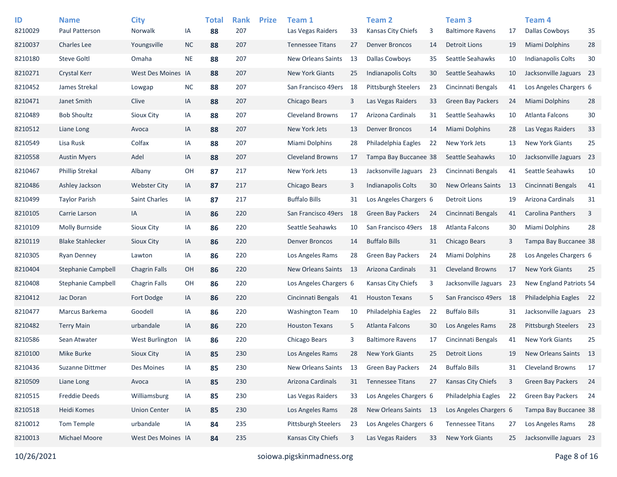| ID<br>8210029 | <b>Name</b><br>Paul Patterson | <b>City</b><br>Norwalk | IA        | <b>Total</b><br>88 | <b>Rank</b><br>207 | <b>Prize</b> | Team 1<br>Las Vegas Raiders | 33 | <b>Team 2</b><br>Kansas City Chiefs | 3  | Team <sub>3</sub><br><b>Baltimore Ravens</b> | 17   | <b>Team 4</b><br><b>Dallas Cowboys</b> | 35   |
|---------------|-------------------------------|------------------------|-----------|--------------------|--------------------|--------------|-----------------------------|----|-------------------------------------|----|----------------------------------------------|------|----------------------------------------|------|
| 8210037       | <b>Charles Lee</b>            | Youngsville            | <b>NC</b> | 88                 | 207                |              | <b>Tennessee Titans</b>     | 27 | <b>Denver Broncos</b>               | 14 | <b>Detroit Lions</b>                         | 19   | Miami Dolphins                         | 28   |
| 8210180       | <b>Steve Goltl</b>            | Omaha                  | <b>NE</b> | 88                 | 207                |              | <b>New Orleans Saints</b>   | 13 | <b>Dallas Cowboys</b>               | 35 | Seattle Seahawks                             | 10   | <b>Indianapolis Colts</b>              | 30   |
| 8210271       | <b>Crystal Kerr</b>           | West Des Moines IA     |           | 88                 | 207                |              | <b>New York Giants</b>      | 25 | <b>Indianapolis Colts</b>           | 30 | Seattle Seahawks                             | 10   | Jacksonville Jaguars 23                |      |
| 8210452       | James Strekal                 | Lowgap                 | $NC$      | 88                 | 207                |              | San Francisco 49ers         | 18 | <b>Pittsburgh Steelers</b>          | 23 | Cincinnati Bengals                           | 41   | Los Angeles Chargers 6                 |      |
| 8210471       | Janet Smith                   | Clive                  | IA        | 88                 | 207                |              | Chicago Bears               | 3  | Las Vegas Raiders                   | 33 | <b>Green Bay Packers</b>                     | 24   | <b>Miami Dolphins</b>                  | 28   |
| 8210489       | <b>Bob Shoultz</b>            | Sioux City             | IA        | 88                 | 207                |              | <b>Cleveland Browns</b>     | 17 | Arizona Cardinals                   | 31 | Seattle Seahawks                             | 10   | Atlanta Falcons                        | 30   |
| 8210512       | Liane Long                    | Avoca                  | IA        | 88                 | 207                |              | New York Jets               | 13 | <b>Denver Broncos</b>               | 14 | Miami Dolphins                               | 28   | Las Vegas Raiders                      | 33   |
| 8210549       | Lisa Rusk                     | Colfax                 | IA        | 88                 | 207                |              | Miami Dolphins              | 28 | Philadelphia Eagles                 | 22 | New York Jets                                | 13   | <b>New York Giants</b>                 | 25   |
| 8210558       | <b>Austin Myers</b>           | Adel                   | IA        | 88                 | 207                |              | <b>Cleveland Browns</b>     | 17 | Tampa Bay Buccanee 38               |    | Seattle Seahawks                             | 10   | Jacksonville Jaguars 23                |      |
| 8210467       | <b>Phillip Strekal</b>        | Albany                 | OH        | 87                 | 217                |              | New York Jets               | 13 | Jacksonville Jaguars 23             |    | Cincinnati Bengals                           | 41   | Seattle Seahawks                       | 10   |
| 8210486       | Ashley Jackson                | <b>Webster City</b>    | IA        | 87                 | 217                |              | Chicago Bears               | 3  | Indianapolis Colts                  | 30 | <b>New Orleans Saints</b>                    | 13   | Cincinnati Bengals                     | 41   |
| 8210499       | <b>Taylor Parish</b>          | <b>Saint Charles</b>   | IA        | 87                 | 217                |              | <b>Buffalo Bills</b>        | 31 | Los Angeles Chargers 6              |    | <b>Detroit Lions</b>                         | 19   | Arizona Cardinals                      | 31   |
| 8210105       | Carrie Larson                 | IA                     | IA        | 86                 | 220                |              | San Francisco 49ers         | 18 | <b>Green Bay Packers</b>            | 24 | Cincinnati Bengals                           | 41   | <b>Carolina Panthers</b>               | 3    |
| 8210109       | <b>Molly Burnside</b>         | Sioux City             | IA        | 86                 | 220                |              | Seattle Seahawks            | 10 | San Francisco 49ers                 | 18 | Atlanta Falcons                              | 30   | Miami Dolphins                         | 28   |
| 8210119       | <b>Blake Stahlecker</b>       | Sioux City             | IA        | 86                 | 220                |              | <b>Denver Broncos</b>       | 14 | <b>Buffalo Bills</b>                | 31 | Chicago Bears                                | 3    | Tampa Bay Buccanee 38                  |      |
| 8210305       | <b>Ryan Denney</b>            | Lawton                 | IA        | 86                 | 220                |              | Los Angeles Rams            | 28 | <b>Green Bay Packers</b>            | 24 | Miami Dolphins                               | 28   | Los Angeles Chargers 6                 |      |
| 8210404       | Stephanie Campbell            | <b>Chagrin Falls</b>   | OH        | 86                 | 220                |              | <b>New Orleans Saints</b>   | 13 | Arizona Cardinals                   | 31 | <b>Cleveland Browns</b>                      | 17   | <b>New York Giants</b>                 | 25   |
| 8210408       | <b>Stephanie Campbell</b>     | <b>Chagrin Falls</b>   | OH        | 86                 | 220                |              | Los Angeles Chargers 6      |    | Kansas City Chiefs                  | 3  | Jacksonville Jaguars                         | 23   | New England Patriots 54                |      |
| 8210412       | Jac Doran                     | Fort Dodge             | IA        | 86                 | 220                |              | Cincinnati Bengals          | 41 | <b>Houston Texans</b>               | 5  | San Francisco 49ers                          | - 18 | Philadelphia Eagles                    | 22   |
| 8210477       | Marcus Barkema                | Goodell                | IA        | 86                 | 220                |              | <b>Washington Team</b>      | 10 | Philadelphia Eagles                 | 22 | <b>Buffalo Bills</b>                         | 31   | Jacksonville Jaguars 23                |      |
| 8210482       | <b>Terry Main</b>             | urbandale              | IA        | 86                 | 220                |              | <b>Houston Texans</b>       | 5  | <b>Atlanta Falcons</b>              | 30 | Los Angeles Rams                             | 28   | <b>Pittsburgh Steelers</b>             | 23   |
| 8210586       | Sean Atwater                  | West Burlington        | IA        | 86                 | 220                |              | Chicago Bears               | 3  | <b>Baltimore Ravens</b>             | 17 | Cincinnati Bengals                           | 41   | <b>New York Giants</b>                 | 25   |
| 8210100       | Mike Burke                    | Sioux City             | IA        | 85                 | 230                |              | Los Angeles Rams            | 28 | <b>New York Giants</b>              | 25 | <b>Detroit Lions</b>                         | 19   | New Orleans Saints                     | - 13 |
| 8210436       | Suzanne Dittmer               | Des Moines             | IA        | 85                 | 230                |              | New Orleans Saints          | 13 | <b>Green Bay Packers</b>            | 24 | <b>Buffalo Bills</b>                         | 31   | <b>Cleveland Browns</b>                | 17   |
| 8210509       | Liane Long                    | Avoca                  | IA        | 85                 | 230                |              | Arizona Cardinals           | 31 | <b>Tennessee Titans</b>             | 27 | Kansas City Chiefs                           | 3    | Green Bay Packers                      | 24   |
| 8210515       | <b>Freddie Deeds</b>          | Williamsburg           | IA        | 85                 | 230                |              | Las Vegas Raiders           | 33 | Los Angeles Chargers 6              |    | Philadelphia Eagles                          | 22   | Green Bay Packers                      | 24   |
| 8210518       | Heidi Komes                   | <b>Union Center</b>    | IA        | 85                 | 230                |              | Los Angeles Rams            | 28 | New Orleans Saints 13               |    | Los Angeles Chargers 6                       |      | Tampa Bay Buccanee 38                  |      |
| 8210012       | Tom Temple                    | urbandale              | IA        | 84                 | 235                |              | <b>Pittsburgh Steelers</b>  | 23 | Los Angeles Chargers 6              |    | <b>Tennessee Titans</b>                      | 27   | Los Angeles Rams                       | 28   |
| 8210013       | Michael Moore                 | West Des Moines IA     |           | 84                 | 235                |              | Kansas City Chiefs          | 3  | Las Vegas Raiders                   | 33 | New York Giants                              | 25   | Jacksonville Jaguars 23                |      |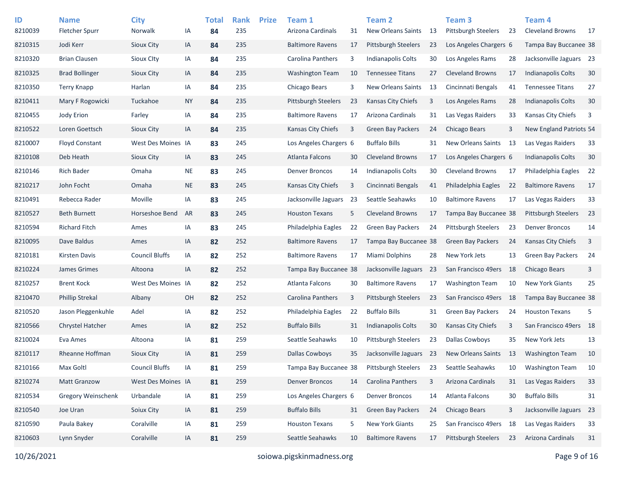| ID      | <b>Name</b>               | <b>City</b>           |           | <b>Total</b> | <b>Rank</b> | <b>Prize</b> | Team 1                  |     | <b>Team 2</b>              |    | Team <sub>3</sub>          |     | Team 4                     |    |
|---------|---------------------------|-----------------------|-----------|--------------|-------------|--------------|-------------------------|-----|----------------------------|----|----------------------------|-----|----------------------------|----|
| 8210039 | <b>Fletcher Spurr</b>     | Norwalk               | IA        | 84           | 235         |              | Arizona Cardinals       | 31  | <b>New Orleans Saints</b>  | 13 | Pittsburgh Steelers        | 23  | <b>Cleveland Browns</b>    | 17 |
| 8210315 | Jodi Kerr                 | Sioux City            | IA        | 84           | 235         |              | <b>Baltimore Ravens</b> | 17  | <b>Pittsburgh Steelers</b> | 23 | Los Angeles Chargers 6     |     | Tampa Bay Buccanee 38      |    |
| 8210320 | <b>Brian Clausen</b>      | <b>Sioux Clty</b>     | IA        | 84           | 235         |              | Carolina Panthers       | 3   | <b>Indianapolis Colts</b>  | 30 | Los Angeles Rams           | 28  | Jacksonville Jaguars 23    |    |
| 8210325 | <b>Brad Bollinger</b>     | Sioux City            | IA        | 84           | 235         |              | <b>Washington Team</b>  | 10  | <b>Tennessee Titans</b>    | 27 | <b>Cleveland Browns</b>    | 17  | Indianapolis Colts         | 30 |
| 8210350 | <b>Terry Knapp</b>        | Harlan                | IA        | 84           | 235         |              | Chicago Bears           | 3   | <b>New Orleans Saints</b>  | 13 | Cincinnati Bengals         | 41  | <b>Tennessee Titans</b>    | 27 |
| 8210411 | Mary F Rogowicki          | Tuckahoe              | <b>NY</b> | 84           | 235         |              | Pittsburgh Steelers     | 23  | Kansas City Chiefs         | 3  | Los Angeles Rams           | 28  | Indianapolis Colts         | 30 |
| 8210455 | Jody Erion                | Farley                | IA        | 84           | 235         |              | <b>Baltimore Ravens</b> | 17  | Arizona Cardinals          | 31 | Las Vegas Raiders          | 33  | Kansas City Chiefs         | 3  |
| 8210522 | Loren Goettsch            | Sioux City            | IA        | 84           | 235         |              | Kansas City Chiefs      | 3   | <b>Green Bay Packers</b>   | 24 | <b>Chicago Bears</b>       | 3   | New England Patriots 54    |    |
| 8210007 | <b>Floyd Constant</b>     | West Des Moines IA    |           | 83           | 245         |              | Los Angeles Chargers 6  |     | <b>Buffalo Bills</b>       | 31 | New Orleans Saints         | -13 | Las Vegas Raiders          | 33 |
| 8210108 | Deb Heath                 | Sioux City            | IA        | 83           | 245         |              | Atlanta Falcons         | 30  | <b>Cleveland Browns</b>    | 17 | Los Angeles Chargers 6     |     | Indianapolis Colts         | 30 |
| 8210146 | <b>Rich Bader</b>         | Omaha                 | <b>NE</b> | 83           | 245         |              | <b>Denver Broncos</b>   | 14  | <b>Indianapolis Colts</b>  | 30 | <b>Cleveland Browns</b>    | 17  | Philadelphia Eagles        | 22 |
| 8210217 | John Focht                | Omaha                 | <b>NE</b> | 83           | 245         |              | Kansas City Chiefs      | 3   | Cincinnati Bengals         | 41 | Philadelphia Eagles        | 22  | <b>Baltimore Ravens</b>    | 17 |
| 8210491 | Rebecca Rader             | Moville               | IA        | 83           | 245         |              | Jacksonville Jaguars    | 23  | Seattle Seahawks           | 10 | <b>Baltimore Ravens</b>    | 17  | Las Vegas Raiders          | 33 |
| 8210527 | <b>Beth Burnett</b>       | Horseshoe Bend        | AR        | 83           | 245         |              | <b>Houston Texans</b>   | 5   | <b>Cleveland Browns</b>    | 17 | Tampa Bay Buccanee 38      |     | <b>Pittsburgh Steelers</b> | 23 |
| 8210594 | <b>Richard Fitch</b>      | Ames                  | ΙA        | 83           | 245         |              | Philadelphia Eagles     | 22  | <b>Green Bay Packers</b>   | 24 | <b>Pittsburgh Steelers</b> | 23  | <b>Denver Broncos</b>      | 14 |
| 8210095 | Dave Baldus               | Ames                  | IA        | 82           | 252         |              | <b>Baltimore Ravens</b> | 17  | Tampa Bay Buccanee 38      |    | <b>Green Bay Packers</b>   | 24  | Kansas City Chiefs         | 3  |
| 8210181 | <b>Kirsten Davis</b>      | <b>Council Bluffs</b> | ΙA        | 82           | 252         |              | <b>Baltimore Ravens</b> | 17  | Miami Dolphins             | 28 | New York Jets              | 13  | <b>Green Bay Packers</b>   | 24 |
| 8210224 | James Grimes              | Altoona               | IA        | 82           | 252         |              | Tampa Bay Buccanee 38   |     | Jacksonville Jaguars       | 23 | San Francisco 49ers        | -18 | <b>Chicago Bears</b>       | 3  |
| 8210257 | <b>Brent Kock</b>         | West Des Moines IA    |           | 82           | 252         |              | Atlanta Falcons         | 30  | <b>Baltimore Ravens</b>    | 17 | <b>Washington Team</b>     | 10  | <b>New York Giants</b>     | 25 |
| 8210470 | <b>Phillip Strekal</b>    | Albany                | OН        | 82           | 252         |              | Carolina Panthers       | 3   | <b>Pittsburgh Steelers</b> | 23 | San Francisco 49ers        | 18  | Tampa Bay Buccanee 38      |    |
| 8210520 | Jason Pleggenkuhle        | Adel                  | ΙA        | 82           | 252         |              | Philadelphia Eagles     | 22  | <b>Buffalo Bills</b>       | 31 | <b>Green Bay Packers</b>   | 24  | <b>Houston Texans</b>      | 5  |
| 8210566 | Chrystel Hatcher          | Ames                  | IA        | 82           | 252         |              | <b>Buffalo Bills</b>    | 31  | <b>Indianapolis Colts</b>  | 30 | <b>Kansas City Chiefs</b>  | 3   | San Francisco 49ers 18     |    |
| 8210024 | Eva Ames                  | Altoona               | ΙA        | 81           | 259         |              | Seattle Seahawks        | 10  | <b>Pittsburgh Steelers</b> | 23 | <b>Dallas Cowboys</b>      | 35  | New York Jets              | 13 |
| 8210117 | Rheanne Hoffman           | <b>Sioux City</b>     | IA        | 81           | 259         |              | <b>Dallas Cowboys</b>   | 35  | Jacksonville Jaguars 23    |    | New Orleans Saints         | 13  | <b>Washington Team</b>     | 10 |
| 8210166 | Max Goltl                 | <b>Council Bluffs</b> | ΙA        | 81           | 259         |              | Tampa Bay Buccanee 38   |     | Pittsburgh Steelers        | 23 | Seattle Seahawks           | 10  | <b>Washington Team</b>     | 10 |
| 8210274 | Matt Granzow              | West Des Moines IA    |           | 81           | 259         |              | Denver Broncos          | -14 | Carolina Panthers          | 3  | Arizona Cardinals          | 31  | Las Vegas Raiders          | 33 |
| 8210534 | <b>Gregory Weinschenk</b> | Urbandale             | IA        | 81           | 259         |              | Los Angeles Chargers 6  |     | Denver Broncos             | 14 | Atlanta Falcons            | 30  | <b>Buffalo Bills</b>       | 31 |
| 8210540 | Joe Uran                  | Soiux City            | IA        | 81           | 259         |              | <b>Buffalo Bills</b>    | 31  | Green Bay Packers          | 24 | Chicago Bears              | 3   | Jacksonville Jaguars 23    |    |
| 8210590 | Paula Bakey               | Coralville            | IA        | 81           | 259         |              | <b>Houston Texans</b>   | 5   | New York Giants            | 25 | San Francisco 49ers 18     |     | Las Vegas Raiders          | 33 |
| 8210603 | Lynn Snyder               | Coralville            | IA        | 81           | 259         |              | Seattle Seahawks        | 10  | <b>Baltimore Ravens</b>    | 17 | Pittsburgh Steelers        | 23  | Arizona Cardinals          | 31 |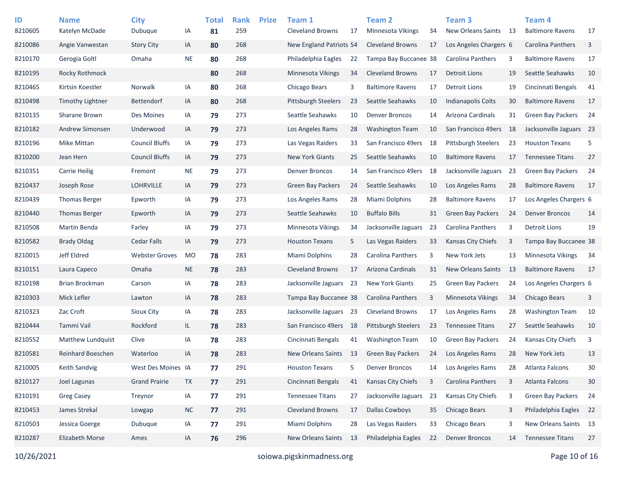| ID<br>8210605 | <b>Name</b><br>Katelyn McDade | <b>City</b><br>Dubuque | IA        | <b>Total</b><br>81 | <b>Rank</b><br>259 | <b>Prize</b> | Team 1<br><b>Cleveland Browns</b> | 17  | <b>Team 2</b><br><b>Minnesota Vikings</b> | 34 | Team <sub>3</sub><br>New Orleans Saints | - 13 | Team <sub>4</sub><br><b>Baltimore Ravens</b> | 17 |
|---------------|-------------------------------|------------------------|-----------|--------------------|--------------------|--------------|-----------------------------------|-----|-------------------------------------------|----|-----------------------------------------|------|----------------------------------------------|----|
| 8210086       | Angie Vanwestan               | <b>Story City</b>      | IA        | 80                 | 268                |              | New England Patriots 54           |     | <b>Cleveland Browns</b>                   | 17 | Los Angeles Chargers 6                  |      | Carolina Panthers                            | 3  |
| 8210170       | Gerogia Goltl                 | Omaha                  | <b>NE</b> | 80                 | 268                |              | Philadelphia Eagles               | 22  | Tampa Bay Buccanee 38                     |    | <b>Carolina Panthers</b>                | 3    | <b>Baltimore Ravens</b>                      | 17 |
| 8210195       | Rocky Rothmock                |                        |           | 80                 | 268                |              | Minnesota Vikings                 | 34  | <b>Cleveland Browns</b>                   | 17 | <b>Detroit Lions</b>                    | 19   | Seattle Seahawks                             | 10 |
| 8210465       | Kirtsin Koestler              | Norwalk                | IA        | 80                 | 268                |              | Chicago Bears                     | 3   | <b>Baltimore Ravens</b>                   | 17 | Detroit Lions                           | 19   | Cincinnati Bengals                           | 41 |
| 8210498       | <b>Timothy Lightner</b>       | <b>Bettendorf</b>      | IA        | 80                 | 268                |              | Pittsburgh Steelers               | 23  | Seattle Seahawks                          | 10 | <b>Indianapolis Colts</b>               | 30   | <b>Baltimore Ravens</b>                      | 17 |
| 8210135       | Sharane Brown                 | Des Moines             | IA        | 79                 | 273                |              | Seattle Seahawks                  | 10  | <b>Denver Broncos</b>                     | 14 | Arizona Cardinals                       | 31   | <b>Green Bay Packers</b>                     | 24 |
| 8210182       | Andrew Simonsen               | Underwood              | IA        | 79                 | 273                |              | Los Angeles Rams                  | 28  | <b>Washington Team</b>                    | 10 | San Francisco 49ers                     | 18   | Jacksonville Jaguars 23                      |    |
| 8210196       | <b>Mike Mittan</b>            | <b>Council Bluffs</b>  | IA        | 79                 | 273                |              | Las Vegas Raiders                 | 33  | San Francisco 49ers                       | 18 | <b>Pittsburgh Steelers</b>              | 23   | <b>Houston Texans</b>                        | 5  |
| 8210200       | Jean Hern                     | <b>Council Bluffs</b>  | IA        | 79                 | 273                |              | <b>New York Giants</b>            | 25  | Seattle Seahawks                          | 10 | <b>Baltimore Ravens</b>                 | 17   | <b>Tennessee Titans</b>                      | 27 |
| 8210351       | <b>Carrie Heilig</b>          | Fremont                | <b>NE</b> | 79                 | 273                |              | <b>Denver Broncos</b>             | 14  | San Francisco 49ers                       | 18 | Jacksonville Jaguars                    | 23   | <b>Green Bay Packers</b>                     | 24 |
| 8210437       | Joseph Rose                   | <b>LOHRVILLE</b>       | IA        | 79                 | 273                |              | Green Bay Packers                 | 24  | Seattle Seahawks                          | 10 | Los Angeles Rams                        | 28   | <b>Baltimore Ravens</b>                      | 17 |
| 8210439       | <b>Thomas Berger</b>          | Epworth                | IA        | 79                 | 273                |              | Los Angeles Rams                  | 28  | Miami Dolphins                            | 28 | <b>Baltimore Ravens</b>                 | 17   | Los Angeles Chargers 6                       |    |
| 8210440       | <b>Thomas Berger</b>          | Epworth                | IA        | 79                 | 273                |              | Seattle Seahawks                  | 10  | <b>Buffalo Bills</b>                      | 31 | <b>Green Bay Packers</b>                | 24   | <b>Denver Broncos</b>                        | 14 |
| 8210508       | Martin Benda                  | Farley                 | IA        | 79                 | 273                |              | Minnesota Vikings                 | 34  | Jacksonville Jaguars                      | 23 | <b>Carolina Panthers</b>                | 3    | <b>Detroit Lions</b>                         | 19 |
| 8210582       | <b>Brady Oldag</b>            | <b>Cedar Falls</b>     | IA        | 79                 | 273                |              | <b>Houston Texans</b>             | 5   | Las Vegas Raiders                         | 33 | Kansas City Chiefs                      | 3    | Tampa Bay Buccanee 38                        |    |
| 8210015       | Jeff Eldred                   | <b>Webster Groves</b>  | <b>MO</b> | 78                 | 283                |              | Miami Dolphins                    | 28  | Carolina Panthers                         | 3  | New York Jets                           | 13   | <b>Minnesota Vikings</b>                     | 34 |
| 8210151       | Laura Capeco                  | Omaha                  | $\sf NE$  | 78                 | 283                |              | <b>Cleveland Browns</b>           | 17  | Arizona Cardinals                         | 31 | <b>New Orleans Saints</b>               | -13  | <b>Baltimore Ravens</b>                      | 17 |
| 8210198       | Brian Brockman                | Carson                 | IA        | 78                 | 283                |              | Jacksonville Jaguars              | 23  | <b>New York Giants</b>                    | 25 | Green Bay Packers                       | 24   | Los Angeles Chargers 6                       |    |
| 8210303       | Mick Lefler                   | Lawton                 | IA        | 78                 | 283                |              | Tampa Bay Buccanee 38             |     | Carolina Panthers                         | 3  | <b>Minnesota Vikings</b>                | 34   | <b>Chicago Bears</b>                         | 3  |
| 8210323       | Zac Croft                     | Sioux City             | IA        | 78                 | 283                |              | Jacksonville Jaguars              | -23 | <b>Cleveland Browns</b>                   | 17 | Los Angeles Rams                        | 28   | <b>Washington Team</b>                       | 10 |
| 8210444       | Tammi Vail                    | Rockford               | IL.       | 78                 | 283                |              | San Francisco 49ers               | -18 | <b>Pittsburgh Steelers</b>                | 23 | <b>Tennessee Titans</b>                 | 27   | Seattle Seahawks                             | 10 |
| 8210552       | Matthew Lundquist             | Clive                  | IA        | 78                 | 283                |              | Cincinnati Bengals                | 41  | <b>Washington Team</b>                    | 10 | Green Bay Packers                       | 24   | Kansas City Chiefs                           | 3  |
| 8210581       | Reinhard Boeschen             | Waterloo               | IA        | 78                 | 283                |              | <b>New Orleans Saints</b>         | 13  | <b>Green Bay Packers</b>                  | 24 | Los Angeles Rams                        | 28   | New York Jets                                | 13 |
| 8210005       | Keith Sandvig                 | West Des Moines IA     |           | 77                 | 291                |              | <b>Houston Texans</b>             | 5   | <b>Denver Broncos</b>                     | 14 | Los Angeles Rams                        | 28   | <b>Atlanta Falcons</b>                       | 30 |
| 8210127       | Joel Lagunas                  | <b>Grand Prairie</b>   | <b>TX</b> | 77                 | 291                |              | Cincinnati Bengals                | 41  | Kansas City Chiefs                        | 3  | Carolina Panthers                       | 3    | <b>Atlanta Falcons</b>                       | 30 |
| 8210191       | <b>Greg Casey</b>             | Treynor                | IA        | 77                 | 291                |              | <b>Tennessee Titans</b>           | 27  | Jacksonville Jaguars                      | 23 | Kansas City Chiefs                      | 3    | Green Bay Packers                            | 24 |
| 8210453       | James Strekal                 | Lowgap                 | $\sf NC$  | 77                 | 291                |              | <b>Cleveland Browns</b>           | 17  | <b>Dallas Cowboys</b>                     | 35 | Chicago Bears                           | 3    | Philadelphia Eagles                          | 22 |
| 8210503       | Jessica Goerge                | Dubuque                | IA        | 77                 | 291                |              | Miami Dolphins                    | 28  | Las Vegas Raiders                         | 33 | Chicago Bears                           | 3    | New Orleans Saints 13                        |    |
| 8210287       | <b>Elizabeth Morse</b>        | Ames                   | IA        | 76                 | 296                |              | <b>New Orleans Saints</b>         | 13  | Philadelphia Eagles                       | 22 | <b>Denver Broncos</b>                   | 14   | <b>Tennessee Titans</b>                      | 27 |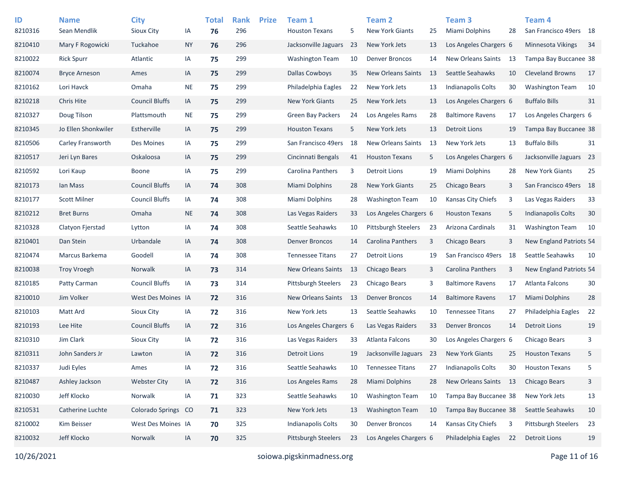| ID<br>8210316 | <b>Name</b><br>Sean Mendlik | <b>City</b><br>Sioux City | IA        | <b>Total</b><br>76 | <b>Rank</b><br>296 | <b>Prize</b> | Team 1<br><b>Houston Texans</b> | 5  | <b>Team 2</b><br><b>New York Giants</b> | 25   | Team <sub>3</sub><br>Miami Dolphins | 28  | Team <sub>4</sub><br>San Francisco 49ers 18 |    |
|---------------|-----------------------------|---------------------------|-----------|--------------------|--------------------|--------------|---------------------------------|----|-----------------------------------------|------|-------------------------------------|-----|---------------------------------------------|----|
| 8210410       | Mary F Rogowicki            | Tuckahoe                  | <b>NY</b> | 76                 | 296                |              | Jacksonville Jaguars            | 23 | New York Jets                           | 13   | Los Angeles Chargers 6              |     | <b>Minnesota Vikings</b>                    | 34 |
| 8210022       | <b>Rick Spurr</b>           | Atlantic                  | ΙA        | 75                 | 299                |              | <b>Washington Team</b>          | 10 | <b>Denver Broncos</b>                   | 14   | New Orleans Saints                  | -13 | Tampa Bay Buccanee 38                       |    |
| 8210074       | <b>Bryce Arneson</b>        | Ames                      | IA        | 75                 | 299                |              | <b>Dallas Cowboys</b>           | 35 | <b>New Orleans Saints</b>               | -13  | Seattle Seahawks                    | 10  | <b>Cleveland Browns</b>                     | 17 |
| 8210162       | Lori Havck                  | Omaha                     | <b>NE</b> | 75                 | 299                |              | Philadelphia Eagles             | 22 | New York Jets                           | 13   | Indianapolis Colts                  | 30  | <b>Washington Team</b>                      | 10 |
| 8210218       | Chris Hite                  | <b>Council Bluffs</b>     | IA        | 75                 | 299                |              | <b>New York Giants</b>          | 25 | New York Jets                           | 13   | Los Angeles Chargers 6              |     | <b>Buffalo Bills</b>                        | 31 |
| 8210327       | Doug Tilson                 | Plattsmouth               | <b>NE</b> | 75                 | 299                |              | <b>Green Bay Packers</b>        | 24 | Los Angeles Rams                        | 28   | <b>Baltimore Ravens</b>             | 17  | Los Angeles Chargers 6                      |    |
| 8210345       | Jo Ellen Shonkwiler         | Estherville               | IA        | 75                 | 299                |              | <b>Houston Texans</b>           | 5  | New York Jets                           | 13   | <b>Detroit Lions</b>                | 19  | Tampa Bay Buccanee 38                       |    |
| 8210506       | Carley Fransworth           | Des Moines                | IA        | 75                 | 299                |              | San Francisco 49ers             | 18 | <b>New Orleans Saints</b>               | 13   | New York Jets                       | 13  | <b>Buffalo Bills</b>                        | 31 |
| 8210517       | Jeri Lyn Bares              | Oskaloosa                 | IA        | 75                 | 299                |              | Cincinnati Bengals              | 41 | <b>Houston Texans</b>                   | 5    | Los Angeles Chargers 6              |     | Jacksonville Jaguars 23                     |    |
| 8210592       | Lori Kaup                   | <b>Boone</b>              | IA        | 75                 | 299                |              | Carolina Panthers               | 3  | <b>Detroit Lions</b>                    | 19   | <b>Miami Dolphins</b>               | 28  | <b>New York Giants</b>                      | 25 |
| 8210173       | Ian Mass                    | <b>Council Bluffs</b>     | IA        | 74                 | 308                |              | <b>Miami Dolphins</b>           | 28 | <b>New York Giants</b>                  | 25   | Chicago Bears                       | 3   | San Francisco 49ers 18                      |    |
| 8210177       | <b>Scott Milner</b>         | <b>Council Bluffs</b>     | ΙA        | 74                 | 308                |              | Miami Dolphins                  | 28 | <b>Washington Team</b>                  | 10   | Kansas City Chiefs                  | 3   | Las Vegas Raiders                           | 33 |
| 8210212       | <b>Bret Burns</b>           | Omaha                     | <b>NE</b> | 74                 | 308                |              | Las Vegas Raiders               | 33 | Los Angeles Chargers 6                  |      | <b>Houston Texans</b>               | 5   | <b>Indianapolis Colts</b>                   | 30 |
| 8210328       | Clatyon Fierstad            | Lytton                    | IA        | 74                 | 308                |              | Seattle Seahawks                | 10 | <b>Pittsburgh Steelers</b>              | 23   | Arizona Cardinals                   | 31  | <b>Washington Team</b>                      | 10 |
| 8210401       | Dan Stein                   | Urbandale                 | IA        | 74                 | 308                |              | <b>Denver Broncos</b>           | 14 | Carolina Panthers                       | 3    | Chicago Bears                       | 3   | New England Patriots 54                     |    |
| 8210474       | Marcus Barkema              | Goodell                   | ΙA        | 74                 | 308                |              | <b>Tennessee Titans</b>         | 27 | Detroit Lions                           | 19   | San Francisco 49ers                 | 18  | Seattle Seahawks                            | 10 |
| 8210038       | <b>Troy Vroegh</b>          | Norwalk                   | IA        | 73                 | 314                |              | New Orleans Saints              | 13 | Chicago Bears                           | 3    | Carolina Panthers                   | 3   | New England Patriots 54                     |    |
| 8210185       | Patty Carman                | <b>Council Bluffs</b>     | IA        | 73                 | 314                |              | <b>Pittsburgh Steelers</b>      | 23 | Chicago Bears                           | 3    | <b>Baltimore Ravens</b>             | 17  | Atlanta Falcons                             | 30 |
| 8210010       | Jim Volker                  | West Des Moines IA        |           | 72                 | 316                |              | New Orleans Saints              | 13 | <b>Denver Broncos</b>                   | 14   | <b>Baltimore Ravens</b>             | 17  | <b>Miami Dolphins</b>                       | 28 |
| 8210103       | Matt Ard                    | <b>Sioux City</b>         | IA        | 72                 | 316                |              | New York Jets                   | 13 | Seattle Seahawks                        | 10   | <b>Tennessee Titans</b>             | 27  | Philadelphia Eagles                         | 22 |
| 8210193       | Lee Hite                    | <b>Council Bluffs</b>     | IA        | 72                 | 316                |              | Los Angeles Chargers 6          |    | Las Vegas Raiders                       | 33   | <b>Denver Broncos</b>               | 14  | <b>Detroit Lions</b>                        | 19 |
| 8210310       | Jim Clark                   | Sioux City                | IA        | 72                 | 316                |              | Las Vegas Raiders               | 33 | Atlanta Falcons                         | 30   | Los Angeles Chargers 6              |     | Chicago Bears                               | 3  |
| 8210311       | John Sanders Jr             | Lawton                    | IA        | 72                 | 316                |              | <b>Detroit Lions</b>            | 19 | Jacksonville Jaguars                    | - 23 | <b>New York Giants</b>              | 25  | <b>Houston Texans</b>                       | 5  |
| 8210337       | Judi Eyles                  | Ames                      | IA        | 72                 | 316                |              | Seattle Seahawks                | 10 | <b>Tennessee Titans</b>                 | 27   | Indianapolis Colts                  | 30  | <b>Houston Texans</b>                       | 5  |
| 8210487       | Ashley Jackson              | <b>Webster City</b>       | IA        | 72                 | 316                |              | Los Angeles Rams                | 28 | Miami Dolphins                          | 28   | New Orleans Saints 13               |     | <b>Chicago Bears</b>                        | 3  |
| 8210030       | Jeff Klocko                 | Norwalk                   | IA        | 71                 | 323                |              | Seattle Seahawks                | 10 | <b>Washington Team</b>                  | 10   | Tampa Bay Buccanee 38               |     | New York Jets                               | 13 |
| 8210531       | Catherine Luchte            | <b>Colorado Springs</b>   | CO        | 71                 | 323                |              | New York Jets                   | 13 | <b>Washington Team</b>                  | 10   | Tampa Bay Buccanee 38               |     | Seattle Seahawks                            | 10 |
| 8210002       | Kim Beisser                 | West Des Moines IA        |           | 70                 | 325                |              | <b>Indianapolis Colts</b>       | 30 | <b>Denver Broncos</b>                   | 14   | Kansas City Chiefs                  | 3   | Pittsburgh Steelers                         | 23 |
| 8210032       | Jeff Klocko                 | Norwalk                   | IA        | 70                 | 325                |              | Pittsburgh Steelers             | 23 | Los Angeles Chargers 6                  |      | Philadelphia Eagles                 | 22  | <b>Detroit Lions</b>                        | 19 |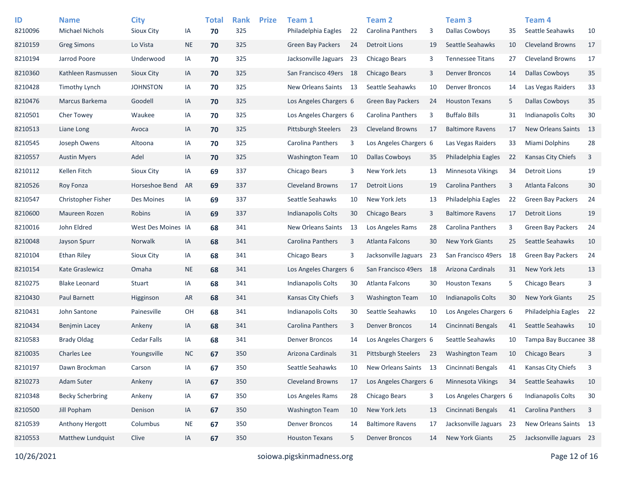| ID<br>8210096 | <b>Name</b><br><b>Michael Nichols</b> | <b>City</b><br>Sioux City | IA        | <b>Total</b><br>70 | <b>Rank</b><br>325 | <b>Prize</b> | Team 1<br>Philadelphia Eagles | 22  | <b>Team 2</b><br>Carolina Panthers | 3    | Team <sub>3</sub><br><b>Dallas Cowboys</b> | 35 | Team 4<br>Seattle Seahawks | 10 |
|---------------|---------------------------------------|---------------------------|-----------|--------------------|--------------------|--------------|-------------------------------|-----|------------------------------------|------|--------------------------------------------|----|----------------------------|----|
| 8210159       | <b>Greg Simons</b>                    | Lo Vista                  | <b>NE</b> | 70                 | 325                |              | <b>Green Bay Packers</b>      | 24  | <b>Detroit Lions</b>               | 19   | Seattle Seahawks                           | 10 | <b>Cleveland Browns</b>    | 17 |
| 8210194       | Jarrod Poore                          | Underwood                 | IA        | 70                 | 325                |              | Jacksonville Jaguars          | 23  | Chicago Bears                      | 3    | <b>Tennessee Titans</b>                    | 27 | <b>Cleveland Browns</b>    | 17 |
| 8210360       | Kathleen Rasmussen                    | Sioux City                | IA        | 70                 | 325                |              | San Francisco 49ers           | 18  | Chicago Bears                      | 3    | <b>Denver Broncos</b>                      | 14 | <b>Dallas Cowboys</b>      | 35 |
| 8210428       | <b>Timothy Lynch</b>                  | <b>JOHNSTON</b>           | IA        | 70                 | 325                |              | New Orleans Saints            | -13 | Seattle Seahawks                   | 10   | <b>Denver Broncos</b>                      | 14 | Las Vegas Raiders          | 33 |
| 8210476       | Marcus Barkema                        | Goodell                   | IA        | 70                 | 325                |              | Los Angeles Chargers 6        |     | <b>Green Bay Packers</b>           | 24   | <b>Houston Texans</b>                      | 5  | <b>Dallas Cowboys</b>      | 35 |
| 8210501       | Cher Towey                            | Waukee                    | IA        | 70                 | 325                |              | Los Angeles Chargers 6        |     | Carolina Panthers                  | 3    | <b>Buffalo Bills</b>                       | 31 | Indianapolis Colts         | 30 |
| 8210513       | Liane Long                            | Avoca                     | IA        | 70                 | 325                |              | <b>Pittsburgh Steelers</b>    | 23  | <b>Cleveland Browns</b>            | 17   | <b>Baltimore Ravens</b>                    | 17 | <b>New Orleans Saints</b>  | 13 |
| 8210545       | Joseph Owens                          | Altoona                   | IA        | 70                 | 325                |              | Carolina Panthers             | 3   | Los Angeles Chargers 6             |      | Las Vegas Raiders                          | 33 | Miami Dolphins             | 28 |
| 8210557       | <b>Austin Myers</b>                   | Adel                      | IA        | 70                 | 325                |              | <b>Washington Team</b>        | 10  | <b>Dallas Cowboys</b>              | 35   | Philadelphia Eagles                        | 22 | Kansas City Chiefs         | 3  |
| 8210112       | Kellen Fitch                          | Sioux City                | IA        | 69                 | 337                |              | Chicago Bears                 | 3   | New York Jets                      | 13   | <b>Minnesota Vikings</b>                   | 34 | <b>Detroit Lions</b>       | 19 |
| 8210526       | Roy Fonza                             | Horseshoe Bend            | AR        | 69                 | 337                |              | <b>Cleveland Browns</b>       | 17  | Detroit Lions                      | 19   | Carolina Panthers                          | 3  | <b>Atlanta Falcons</b>     | 30 |
| 8210547       | Christopher Fisher                    | Des Moines                | IA        | 69                 | 337                |              | Seattle Seahawks              | 10  | New York Jets                      | 13   | Philadelphia Eagles                        | 22 | <b>Green Bay Packers</b>   | 24 |
| 8210600       | Maureen Rozen                         | Robins                    | IA        | 69                 | 337                |              | Indianapolis Colts            | 30  | Chicago Bears                      | 3    | <b>Baltimore Ravens</b>                    | 17 | <b>Detroit Lions</b>       | 19 |
| 8210016       | John Eldred                           | West Des Moines IA        |           | 68                 | 341                |              | New Orleans Saints            | 13  | Los Angeles Rams                   | 28   | Carolina Panthers                          | 3  | <b>Green Bay Packers</b>   | 24 |
| 8210048       | Jayson Spurr                          | Norwalk                   | IA        | 68                 | 341                |              | Carolina Panthers             | 3   | <b>Atlanta Falcons</b>             | 30   | <b>New York Giants</b>                     | 25 | Seattle Seahawks           | 10 |
| 8210104       | <b>Ethan Riley</b>                    | <b>Sioux City</b>         | IA        | 68                 | 341                |              | Chicago Bears                 | 3   | Jacksonville Jaguars               | 23   | San Francisco 49ers                        | 18 | <b>Green Bay Packers</b>   | 24 |
| 8210154       | <b>Kate Graslewicz</b>                | Omaha                     | <b>NE</b> | 68                 | 341                |              | Los Angeles Chargers 6        |     | San Francisco 49ers                | -18  | Arizona Cardinals                          | 31 | New York Jets              | 13 |
| 8210275       | <b>Blake Leonard</b>                  | Stuart                    | IA        | 68                 | 341                |              | Indianapolis Colts            | 30  | Atlanta Falcons                    | 30   | <b>Houston Texans</b>                      | 5  | Chicago Bears              | 3  |
| 8210430       | Paul Barnett                          | Higginson                 | <b>AR</b> | 68                 | 341                |              | Kansas City Chiefs            | 3   | <b>Washington Team</b>             | 10   | Indianapolis Colts                         | 30 | <b>New York Giants</b>     | 25 |
| 8210431       | John Santone                          | Painesville               | OH        | 68                 | 341                |              | Indianapolis Colts            | 30  | Seattle Seahawks                   | 10   | Los Angeles Chargers 6                     |    | Philadelphia Eagles        | 22 |
| 8210434       | <b>Benjmin Lacey</b>                  | Ankeny                    | IA        | 68                 | 341                |              | Carolina Panthers             | 3   | <b>Denver Broncos</b>              | 14   | Cincinnati Bengals                         | 41 | Seattle Seahawks           | 10 |
| 8210583       | <b>Brady Oldag</b>                    | <b>Cedar Falls</b>        | IA        | 68                 | 341                |              | <b>Denver Broncos</b>         | 14  | Los Angeles Chargers 6             |      | Seattle Seahawks                           | 10 | Tampa Bay Buccanee 38      |    |
| 8210035       | <b>Charles Lee</b>                    | Youngsville               | <b>NC</b> | 67                 | 350                |              | Arizona Cardinals             | 31  | <b>Pittsburgh Steelers</b>         | 23   | <b>Washington Team</b>                     | 10 | <b>Chicago Bears</b>       | 3  |
| 8210197       | Dawn Brockman                         | Carson                    | IA        | 67                 | 350                |              | Seattle Seahawks              | 10  | New Orleans Saints                 | - 13 | Cincinnati Bengals                         | 41 | Kansas City Chiefs         | 3  |
| 8210273       | Adam Suter                            | Ankeny                    | IA        | 67                 | 350                |              | Cleveland Browns              | 17  | Los Angeles Chargers 6             |      | Minnesota Vikings                          | 34 | Seattle Seahawks           | 10 |
| 8210348       | <b>Becky Scherbring</b>               | Ankeny                    | IA        | 67                 | 350                |              | Los Angeles Rams              | 28  | Chicago Bears                      | 3    | Los Angeles Chargers 6                     |    | <b>Indianapolis Colts</b>  | 30 |
| 8210500       | Jill Popham                           | Denison                   | IA        | 67                 | 350                |              | <b>Washington Team</b>        | 10  | New York Jets                      | 13   | Cincinnati Bengals                         | 41 | Carolina Panthers          | 3  |
| 8210539       | Anthony Hergott                       | Columbus                  | <b>NE</b> | 67                 | 350                |              | <b>Denver Broncos</b>         | 14  | <b>Baltimore Ravens</b>            | 17   | Jacksonville Jaguars 23                    |    | New Orleans Saints 13      |    |
| 8210553       | Matthew Lundquist                     | Clive                     | IA        | 67                 | 350                |              | <b>Houston Texans</b>         | 5   | <b>Denver Broncos</b>              | 14   | New York Giants                            | 25 | Jacksonville Jaguars 23    |    |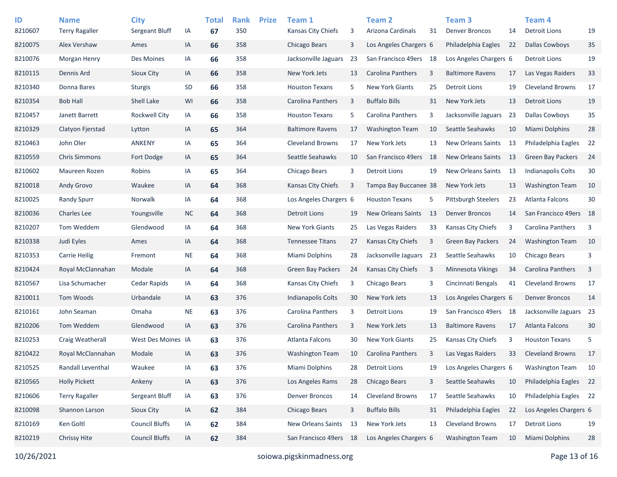| ID<br>8210607 | <b>Name</b><br><b>Terry Ragaller</b> | <b>City</b><br>Sergeant Bluff | IA        | <b>Total</b><br>67 | <b>Rank</b><br>350 | <b>Prize</b> | Team 1<br>Kansas City Chiefs | 3    | <b>Team 2</b><br>Arizona Cardinals | 31  | Team <sub>3</sub><br><b>Denver Broncos</b> | 14  | Team <sub>4</sub><br><b>Detroit Lions</b> | 19 |
|---------------|--------------------------------------|-------------------------------|-----------|--------------------|--------------------|--------------|------------------------------|------|------------------------------------|-----|--------------------------------------------|-----|-------------------------------------------|----|
| 8210075       | Alex Vershaw                         | Ames                          | IA        | 66                 | 358                |              | Chicago Bears                | 3    | Los Angeles Chargers 6             |     | Philadelphia Eagles                        | 22  | <b>Dallas Cowboys</b>                     | 35 |
| 8210076       | Morgan Henry                         | Des Moines                    | IA        | 66                 | 358                |              | Jacksonville Jaguars         | 23   | San Francisco 49ers 18             |     | Los Angeles Chargers 6                     |     | <b>Detroit Lions</b>                      | 19 |
| 8210115       | Dennis Ard                           | <b>Sioux City</b>             | IA        | 66                 | 358                |              | New York Jets                | 13   | Carolina Panthers                  | 3   | <b>Baltimore Ravens</b>                    | 17  | Las Vegas Raiders                         | 33 |
| 8210340       | Donna Bares                          | <b>Sturgis</b>                | SD        | 66                 | 358                |              | <b>Houston Texans</b>        | 5    | <b>New York Giants</b>             | 25  | <b>Detroit Lions</b>                       | 19  | <b>Cleveland Browns</b>                   | 17 |
| 8210354       | <b>Bob Hall</b>                      | Shell Lake                    | WI        | 66                 | 358                |              | Carolina Panthers            | 3    | <b>Buffalo Bills</b>               | 31  | New York Jets                              | 13  | <b>Detroit Lions</b>                      | 19 |
| 8210457       | Janett Barrett                       | <b>Rockwell City</b>          | IA        | 66                 | 358                |              | <b>Houston Texans</b>        | 5    | Carolina Panthers                  | 3   | Jacksonville Jaguars                       | 23  | <b>Dallas Cowboys</b>                     | 35 |
| 8210329       | Clatyon Fjerstad                     | Lytton                        | IA        | 65                 | 364                |              | <b>Baltimore Ravens</b>      | 17   | <b>Washington Team</b>             | 10  | Seattle Seahawks                           | 10  | Miami Dolphins                            | 28 |
| 8210463       | John Oler                            | ANKENY                        | IA        | 65                 | 364                |              | <b>Cleveland Browns</b>      | 17   | New York Jets                      | 13  | New Orleans Saints                         | 13  | Philadelphia Eagles                       | 22 |
| 8210559       | <b>Chris Simmons</b>                 | Fort Dodge                    | IA        | 65                 | 364                |              | Seattle Seahawks             | 10   | San Francisco 49ers                | -18 | New Orleans Saints                         | -13 | <b>Green Bay Packers</b>                  | 24 |
| 8210602       | Maureen Rozen                        | Robins                        | IA        | 65                 | 364                |              | Chicago Bears                | 3    | <b>Detroit Lions</b>               | 19  | New Orleans Saints                         | -13 | Indianapolis Colts                        | 30 |
| 8210018       | <b>Andy Grovo</b>                    | Waukee                        | IA        | 64                 | 368                |              | Kansas City Chiefs           | 3    | Tampa Bay Buccanee 38              |     | New York Jets                              | 13  | <b>Washington Team</b>                    | 10 |
| 8210025       | <b>Randy Spurr</b>                   | Norwalk                       | IA        | 64                 | 368                |              | Los Angeles Chargers 6       |      | <b>Houston Texans</b>              | 5   | <b>Pittsburgh Steelers</b>                 | 23  | <b>Atlanta Falcons</b>                    | 30 |
| 8210036       | <b>Charles Lee</b>                   | Youngsville                   | <b>NC</b> | 64                 | 368                |              | <b>Detroit Lions</b>         | 19   | <b>New Orleans Saints</b>          | -13 | <b>Denver Broncos</b>                      | 14  | San Francisco 49ers                       | 18 |
| 8210207       | Tom Weddem                           | Glendwood                     | IA        | 64                 | 368                |              | <b>New York Giants</b>       | 25   | Las Vegas Raiders                  | 33  | Kansas City Chiefs                         | 3   | Carolina Panthers                         | 3  |
| 8210338       | Judi Eyles                           | Ames                          | IA        | 64                 | 368                |              | <b>Tennessee Titans</b>      | 27   | <b>Kansas City Chiefs</b>          | 3   | <b>Green Bay Packers</b>                   | 24  | <b>Washington Team</b>                    | 10 |
| 8210353       | <b>Carrie Heilig</b>                 | Fremont                       | $\sf NE$  | 64                 | 368                |              | Miami Dolphins               | 28   | Jacksonville Jaguars               | 23  | Seattle Seahawks                           | 10  | Chicago Bears                             | 3  |
| 8210424       | Royal McClannahan                    | Modale                        | IA        | 64                 | 368                |              | <b>Green Bay Packers</b>     | 24   | <b>Kansas City Chiefs</b>          | 3   | <b>Minnesota Vikings</b>                   | 34  | <b>Carolina Panthers</b>                  | 3  |
| 8210567       | Lisa Schumacher                      | Cedar Rapids                  | IA        | 64                 | 368                |              | Kansas City Chiefs           | 3    | Chicago Bears                      | 3   | Cincinnati Bengals                         | 41  | <b>Cleveland Browns</b>                   | 17 |
| 8210011       | Tom Woods                            | Urbandale                     | IA        | 63                 | 376                |              | Indianapolis Colts           | 30   | New York Jets                      | 13  | Los Angeles Chargers 6                     |     | <b>Denver Broncos</b>                     | 14 |
| 8210161       | John Seaman                          | Omaha                         | <b>NE</b> | 63                 | 376                |              | Carolina Panthers            | 3    | <b>Detroit Lions</b>               | 19  | San Francisco 49ers                        | 18  | Jacksonville Jaguars 23                   |    |
| 8210206       | Tom Weddem                           | Glendwood                     | IA        | 63                 | 376                |              | Carolina Panthers            | 3    | New York Jets                      | 13  | <b>Baltimore Ravens</b>                    | 17  | <b>Atlanta Falcons</b>                    | 30 |
| 8210253       | Craig Weatherall                     | West Des Moines IA            |           | 63                 | 376                |              | Atlanta Falcons              | 30   | <b>New York Giants</b>             | 25  | Kansas City Chiefs                         | 3   | <b>Houston Texans</b>                     | 5  |
| 8210422       | Royal McClannahan                    | Modale                        | IA        | 63                 | 376                |              | <b>Washington Team</b>       | 10   | Carolina Panthers                  | 3   | Las Vegas Raiders                          | 33  | <b>Cleveland Browns</b>                   | 17 |
| 8210525       | Randall Leventhal                    | Waukee                        | IA        | 63                 | 376                |              | Miami Dolphins               | 28   | <b>Detroit Lions</b>               | 19  | Los Angeles Chargers 6                     |     | <b>Washington Team</b>                    | 10 |
| 8210565       | <b>Holly Pickett</b>                 | Ankeny                        | $\sf IA$  | 63                 | 376                |              | Los Angeles Rams             | 28   | Chicago Bears                      | 3   | Seattle Seahawks                           | 10  | Philadelphia Eagles                       | 22 |
| 8210606       | <b>Terry Ragaller</b>                | Sergeant Bluff                | IA        | 63                 | 376                |              | <b>Denver Broncos</b>        | 14   | <b>Cleveland Browns</b>            | 17  | Seattle Seahawks                           | 10  | Philadelphia Eagles 22                    |    |
| 8210098       | Shannon Larson                       | Sioux City                    | $\sf IA$  | 62                 | 384                |              | Chicago Bears                | 3    | <b>Buffalo Bills</b>               | 31  | Philadelphia Eagles                        | 22  | Los Angeles Chargers 6                    |    |
| 8210169       | Ken Goltl                            | <b>Council Bluffs</b>         | IA        | 62                 | 384                |              | New Orleans Saints           | 13   | New York Jets                      | 13  | Cleveland Browns                           | 17  | <b>Detroit Lions</b>                      | 19 |
| 8210219       | <b>Chrissy Hite</b>                  | <b>Council Bluffs</b>         | IA        | 62                 | 384                |              | San Francisco 49ers          | - 18 | Los Angeles Chargers 6             |     | <b>Washington Team</b>                     | 10  | Miami Dolphins                            | 28 |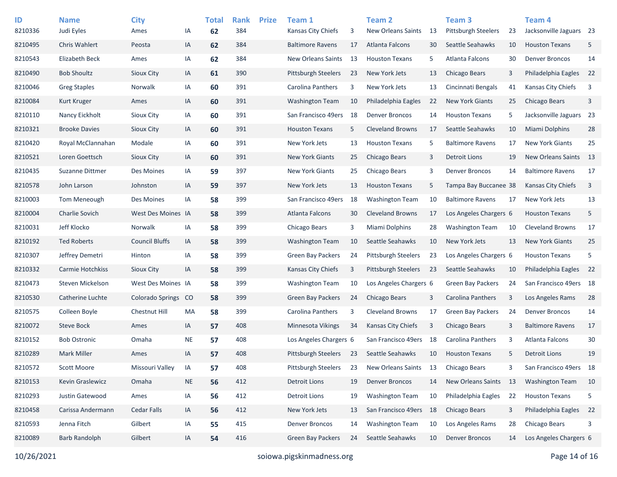| ID<br>8210336 | <b>Name</b><br>Judi Eyles | <b>City</b><br>Ames     | ΙA        | <b>Total</b><br>62 | <b>Rank</b><br>384 | <b>Prize</b> | Team 1<br>Kansas City Chiefs | 3  | Team <sub>2</sub><br><b>New Orleans Saints</b> | 13   | Team <sub>3</sub><br><b>Pittsburgh Steelers</b> | 23 | Team <sub>4</sub><br>Jacksonville Jaguars 23 |                |
|---------------|---------------------------|-------------------------|-----------|--------------------|--------------------|--------------|------------------------------|----|------------------------------------------------|------|-------------------------------------------------|----|----------------------------------------------|----------------|
| 8210495       | <b>Chris Wahlert</b>      | Peosta                  | IA        | 62                 | 384                |              | <b>Baltimore Ravens</b>      | 17 | Atlanta Falcons                                | 30   | Seattle Seahawks                                | 10 | <b>Houston Texans</b>                        | 5              |
| 8210543       | <b>Elizabeth Beck</b>     | Ames                    | IA        | 62                 | 384                |              | New Orleans Saints           | 13 | <b>Houston Texans</b>                          | 5    | Atlanta Falcons                                 | 30 | <b>Denver Broncos</b>                        | 14             |
| 8210490       | <b>Bob Shoultz</b>        | Sioux City              | IA        | 61                 | 390                |              | <b>Pittsburgh Steelers</b>   | 23 | New York Jets                                  | 13   | Chicago Bears                                   | 3  | Philadelphia Eagles                          | 22             |
| 8210046       | <b>Greg Staples</b>       | Norwalk                 | IA        | 60                 | 391                |              | Carolina Panthers            | 3  | New York Jets                                  | 13   | Cincinnati Bengals                              | 41 | Kansas City Chiefs                           | 3              |
| 8210084       | Kurt Kruger               | Ames                    | IA        | 60                 | 391                |              | <b>Washington Team</b>       | 10 | Philadelphia Eagles                            | 22   | <b>New York Giants</b>                          | 25 | Chicago Bears                                | 3              |
| 8210110       | Nancy Eickholt            | Sioux City              | IA        | 60                 | 391                |              | San Francisco 49ers          | 18 | <b>Denver Broncos</b>                          | 14   | <b>Houston Texans</b>                           | 5  | Jacksonville Jaguars 23                      |                |
| 8210321       | <b>Brooke Davies</b>      | Sioux City              | IA        | 60                 | 391                |              | <b>Houston Texans</b>        | 5  | <b>Cleveland Browns</b>                        | 17   | Seattle Seahawks                                | 10 | Miami Dolphins                               | 28             |
| 8210420       | Royal McClannahan         | Modale                  | IA        | 60                 | 391                |              | New York Jets                | 13 | <b>Houston Texans</b>                          | 5    | <b>Baltimore Ravens</b>                         | 17 | <b>New York Giants</b>                       | 25             |
| 8210521       | Loren Goettsch            | <b>Sioux City</b>       | IA        | 60                 | 391                |              | <b>New York Giants</b>       | 25 | Chicago Bears                                  | 3    | <b>Detroit Lions</b>                            | 19 | <b>New Orleans Saints</b>                    | - 13           |
| 8210435       | Suzanne Dittmer           | Des Moines              | IA        | 59                 | 397                |              | <b>New York Giants</b>       | 25 | Chicago Bears                                  | 3    | <b>Denver Broncos</b>                           | 14 | <b>Baltimore Ravens</b>                      | 17             |
| 8210578       | John Larson               | Johnston                | IA        | 59                 | 397                |              | New York Jets                | 13 | <b>Houston Texans</b>                          | 5    | Tampa Bay Buccanee 38                           |    | <b>Kansas City Chiefs</b>                    | $\overline{3}$ |
| 8210003       | Tom Meneough              | Des Moines              | IA        | 58                 | 399                |              | San Francisco 49ers          | 18 | <b>Washington Team</b>                         | 10   | <b>Baltimore Ravens</b>                         | 17 | New York Jets                                | 13             |
| 8210004       | <b>Charlie Sovich</b>     | West Des Moines IA      |           | 58                 | 399                |              | Atlanta Falcons              | 30 | <b>Cleveland Browns</b>                        | 17   | Los Angeles Chargers 6                          |    | <b>Houston Texans</b>                        | 5              |
| 8210031       | Jeff Klocko               | Norwalk                 | IA        | 58                 | 399                |              | Chicago Bears                | 3  | Miami Dolphins                                 | 28   | <b>Washington Team</b>                          | 10 | <b>Cleveland Browns</b>                      | 17             |
| 8210192       | <b>Ted Roberts</b>        | <b>Council Bluffs</b>   | IA        | 58                 | 399                |              | <b>Washington Team</b>       | 10 | Seattle Seahawks                               | 10   | New York Jets                                   | 13 | <b>New York Giants</b>                       | 25             |
| 8210307       | Jeffrey Demetri           | Hinton                  | IA        | 58                 | 399                |              | <b>Green Bay Packers</b>     | 24 | <b>Pittsburgh Steelers</b>                     | 23   | Los Angeles Chargers 6                          |    | <b>Houston Texans</b>                        | 5              |
| 8210332       | Carmie Hotchkiss          | Sioux City              | IA        | 58                 | 399                |              | Kansas City Chiefs           | 3  | <b>Pittsburgh Steelers</b>                     | 23   | Seattle Seahawks                                | 10 | Philadelphia Eagles                          | 22             |
| 8210473       | Steven Mickelson          | West Des Moines IA      |           |                    | 399                |              | <b>Washington Team</b>       | 10 | Los Angeles Chargers 6                         |      | <b>Green Bay Packers</b>                        | 24 | San Francisco 49ers 18                       |                |
| 8210530       | Catherine Luchte          | <b>Colorado Springs</b> | CO        | 58                 | 399                |              | <b>Green Bay Packers</b>     | 24 | Chicago Bears                                  | 3    | <b>Carolina Panthers</b>                        | 3  | Los Angeles Rams                             | 28             |
| 8210575       | Colleen Boyle             | Chestnut Hill           |           | 58                 | 399                |              | Carolina Panthers            | 3  | <b>Cleveland Browns</b>                        | 17   | <b>Green Bay Packers</b>                        |    | <b>Denver Broncos</b>                        | 14             |
|               |                           |                         | MA        | 58                 |                    |              |                              |    |                                                |      | Chicago Bears                                   | 24 |                                              |                |
| 8210072       | <b>Steve Bock</b>         | Ames                    | IA        | 57                 | 408                |              | <b>Minnesota Vikings</b>     | 34 | <b>Kansas City Chiefs</b>                      | 3    |                                                 | 3  | <b>Baltimore Ravens</b>                      | 17             |
| 8210152       | <b>Bob Ostronic</b>       | Omaha                   | <b>NE</b> | 57                 | 408                |              | Los Angeles Chargers 6       |    | San Francisco 49ers                            | 18   | Carolina Panthers                               | 3  | Atlanta Falcons                              | 30             |
| 8210289       | <b>Mark Miller</b>        | Ames                    | IA        | 57                 | 408                |              | <b>Pittsburgh Steelers</b>   | 23 | Seattle Seahawks                               | 10   | <b>Houston Texans</b>                           | 5  | <b>Detroit Lions</b>                         | 19             |
| 8210572       | <b>Scott Moore</b>        | Missouri Valley         | IA        | 57                 | 408                |              | Pittsburgh Steelers          | 23 | <b>New Orleans Saints</b>                      | 13   | Chicago Bears                                   | 3  | San Francisco 49ers 18                       |                |
| 8210153       | Kevin Graslewicz          | Omaha                   | <b>NE</b> | 56                 | 412                |              | <b>Detroit Lions</b>         | 19 | <b>Denver Broncos</b>                          | 14   | New Orleans Saints                              | 13 | <b>Washington Team</b>                       | 10             |
| 8210293       | Justin Gatewood           | Ames                    | IA        | 56                 | 412                |              | <b>Detroit Lions</b>         | 19 | <b>Washington Team</b>                         | 10   | Philadelphia Eagles                             | 22 | <b>Houston Texans</b>                        | 5              |
| 8210458       | Carissa Andermann         | <b>Cedar Falls</b>      | IA        | 56                 | 412                |              | New York Jets                | 13 | San Francisco 49ers                            | - 18 | Chicago Bears                                   | 3  | Philadelphia Eagles                          | 22             |
| 8210593       | Jenna Fitch               | Gilbert                 | IA        | 55                 | 415                |              | <b>Denver Broncos</b>        | 14 | <b>Washington Team</b>                         | 10   | Los Angeles Rams                                | 28 | Chicago Bears                                | 3              |
| 8210089       | <b>Barb Randolph</b>      | Gilbert                 | IA        | 54                 | 416                |              | Green Bay Packers            | 24 | Seattle Seahawks                               | 10   | <b>Denver Broncos</b>                           | 14 | Los Angeles Chargers 6                       |                |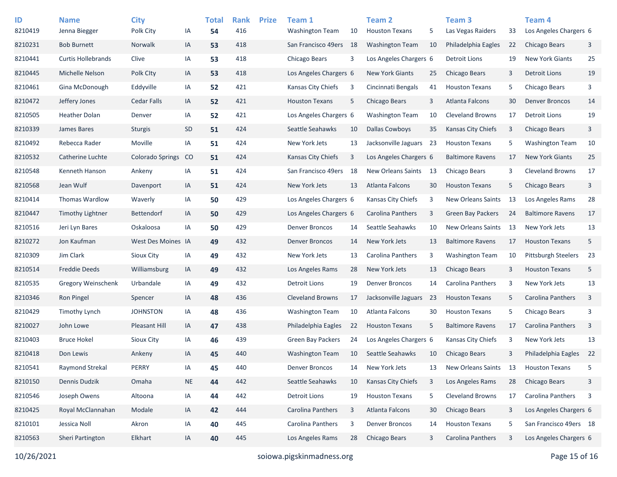| ID<br>8210419 | <b>Name</b><br>Jenna Biegger | <b>City</b><br>Polk City | IA        | <b>Total</b><br>54 | <b>Rank</b><br>416 | <b>Prize</b> | Team 1<br><b>Washington Team</b> | 10 | <b>Team 2</b><br><b>Houston Texans</b> | 5   | Team <sub>3</sub><br>Las Vegas Raiders | 33  | Team <sub>4</sub><br>Los Angeles Chargers 6 |    |
|---------------|------------------------------|--------------------------|-----------|--------------------|--------------------|--------------|----------------------------------|----|----------------------------------------|-----|----------------------------------------|-----|---------------------------------------------|----|
| 8210231       | <b>Bob Burnett</b>           | Norwalk                  | IA        | 53                 | 418                |              | San Francisco 49ers              | 18 | <b>Washington Team</b>                 | 10  | Philadelphia Eagles                    | 22  | <b>Chicago Bears</b>                        | 3  |
| 8210441       | <b>Curtis Hollebrands</b>    | Clive                    | IA        | 53                 | 418                |              | Chicago Bears                    | 3  | Los Angeles Chargers 6                 |     | <b>Detroit Lions</b>                   | 19  | <b>New York Giants</b>                      | 25 |
| 8210445       | Michelle Nelson              | Polk City                | IA        | 53                 | 418                |              | Los Angeles Chargers 6           |    | <b>New York Giants</b>                 | 25  | Chicago Bears                          | 3   | <b>Detroit Lions</b>                        | 19 |
| 8210461       | Gina McDonough               | Eddyville                | IA        | 52                 | 421                |              | Kansas City Chiefs               | 3  | Cincinnati Bengals                     | 41  | <b>Houston Texans</b>                  | 5   | Chicago Bears                               | 3  |
| 8210472       | Jeffery Jones                | <b>Cedar Falls</b>       | IA        | 52                 | 421                |              | <b>Houston Texans</b>            | 5  | Chicago Bears                          | 3   | Atlanta Falcons                        | 30  | <b>Denver Broncos</b>                       | 14 |
| 8210505       | <b>Heather Dolan</b>         | Denver                   | IA        | 52                 | 421                |              | Los Angeles Chargers 6           |    | <b>Washington Team</b>                 | 10  | <b>Cleveland Browns</b>                | 17  | <b>Detroit Lions</b>                        | 19 |
| 8210339       | James Bares                  | <b>Sturgis</b>           | SD        | 51                 | 424                |              | Seattle Seahawks                 | 10 | <b>Dallas Cowboys</b>                  | 35  | <b>Kansas City Chiefs</b>              | 3   | <b>Chicago Bears</b>                        | 3  |
| 8210492       | Rebecca Rader                | Moville                  | IA        | 51                 | 424                |              | New York Jets                    | 13 | Jacksonville Jaguars                   | -23 | <b>Houston Texans</b>                  | 5   | <b>Washington Team</b>                      | 10 |
| 8210532       | Catherine Luchte             | <b>Colorado Springs</b>  | CO        | 51                 | 424                |              | Kansas City Chiefs               | 3  | Los Angeles Chargers 6                 |     | <b>Baltimore Ravens</b>                | 17  | <b>New York Giants</b>                      | 25 |
| 8210548       | Kenneth Hanson               | Ankeny                   | IA        | 51                 | 424                |              | San Francisco 49ers              | 18 | New Orleans Saints                     | 13  | Chicago Bears                          | 3   | <b>Cleveland Browns</b>                     | 17 |
| 8210568       | Jean Wulf                    | Davenport                | IA        | 51                 | 424                |              | New York Jets                    | 13 | Atlanta Falcons                        | 30  | <b>Houston Texans</b>                  | 5   | <b>Chicago Bears</b>                        | 3  |
| 8210414       | Thomas Wardlow               | Waverly                  | IA        | 50                 | 429                |              | Los Angeles Chargers 6           |    | Kansas City Chiefs                     | 3   | New Orleans Saints                     | -13 | Los Angeles Rams                            | 28 |
| 8210447       | <b>Timothy Lightner</b>      | <b>Bettendorf</b>        | IA        | 50                 | 429                |              | Los Angeles Chargers 6           |    | Carolina Panthers                      | 3   | <b>Green Bay Packers</b>               | 24  | <b>Baltimore Ravens</b>                     | 17 |
| 8210516       | Jeri Lyn Bares               | Oskaloosa                | IA        | 50                 | 429                |              | <b>Denver Broncos</b>            | 14 | Seattle Seahawks                       | 10  | <b>New Orleans Saints</b>              | -13 | New York Jets                               | 13 |
| 8210272       | Jon Kaufman                  | West Des Moines IA       |           | 49                 | 432                |              | <b>Denver Broncos</b>            | 14 | New York Jets                          | 13  | <b>Baltimore Ravens</b>                | 17  | <b>Houston Texans</b>                       | 5  |
| 8210309       | Jim Clark                    | Sioux City               | IA        | 49                 | 432                |              | New York Jets                    | 13 | Carolina Panthers                      | 3   | <b>Washington Team</b>                 | 10  | <b>Pittsburgh Steelers</b>                  | 23 |
| 8210514       | <b>Freddie Deeds</b>         | Williamsburg             | IA        | 49                 | 432                |              | Los Angeles Rams                 | 28 | New York Jets                          | 13  | Chicago Bears                          | 3   | <b>Houston Texans</b>                       | 5  |
| 8210535       | <b>Gregory Weinschenk</b>    | Urbandale                | IA        | 49                 | 432                |              | <b>Detroit Lions</b>             | 19 | <b>Denver Broncos</b>                  | 14  | Carolina Panthers                      | 3   | New York Jets                               | 13 |
| 8210346       | <b>Ron Pingel</b>            | Spencer                  | IA        | 48                 | 436                |              | <b>Cleveland Browns</b>          | 17 | Jacksonville Jaguars                   | -23 | <b>Houston Texans</b>                  | 5   | Carolina Panthers                           | 3  |
| 8210429       | <b>Timothy Lynch</b>         | <b>JOHNSTON</b>          | IA        | 48                 | 436                |              | <b>Washington Team</b>           | 10 | Atlanta Falcons                        | 30  | <b>Houston Texans</b>                  | 5   | Chicago Bears                               | 3  |
| 8210027       | John Lowe                    | <b>Pleasant Hill</b>     | IA        | 47                 | 438                |              | Philadelphia Eagles              | 22 | <b>Houston Texans</b>                  | 5   | <b>Baltimore Ravens</b>                | 17  | Carolina Panthers                           | 3  |
| 8210403       | <b>Bruce Hokel</b>           | Sioux City               | IA        | 46                 | 439                |              | <b>Green Bay Packers</b>         | 24 | Los Angeles Chargers 6                 |     | Kansas City Chiefs                     | 3   | New York Jets                               | 13 |
| 8210418       | Don Lewis                    | Ankeny                   | IA        | 45                 | 440                |              | <b>Washington Team</b>           | 10 | Seattle Seahawks                       | 10  | Chicago Bears                          | 3   | Philadelphia Eagles                         | 22 |
| 8210541       | Raymond Strekal              | PERRY                    | IA        | 45                 | 440                |              | <b>Denver Broncos</b>            | 14 | New York Jets                          | 13  | New Orleans Saints                     | 13  | <b>Houston Texans</b>                       | 5  |
| 8210150       | Dennis Dudzik                | Omaha                    | <b>NE</b> | 44                 | 442                |              | Seattle Seahawks                 | 10 | Kansas City Chiefs                     | 3   | Los Angeles Rams                       | 28  | Chicago Bears                               | 3  |
| 8210546       | Joseph Owens                 | Altoona                  | IA        | 44                 | 442                |              | <b>Detroit Lions</b>             | 19 | <b>Houston Texans</b>                  | 5   | <b>Cleveland Browns</b>                | 17  | Carolina Panthers                           | 3  |
| 8210425       | Royal McClannahan            | Modale                   | IA        | 42                 | 444                |              | Carolina Panthers                | 3  | Atlanta Falcons                        | 30  | Chicago Bears                          | 3   | Los Angeles Chargers 6                      |    |
| 8210101       | Jessica Noll                 | Akron                    | IA        | 40                 | 445                |              | Carolina Panthers                | 3  | <b>Denver Broncos</b>                  | 14  | <b>Houston Texans</b>                  | 5   | San Francisco 49ers 18                      |    |
| 8210563       | Sheri Partington             | Elkhart                  | IA        | 40                 | 445                |              | Los Angeles Rams                 | 28 | Chicago Bears                          | 3   | Carolina Panthers                      | 3   | Los Angeles Chargers 6                      |    |